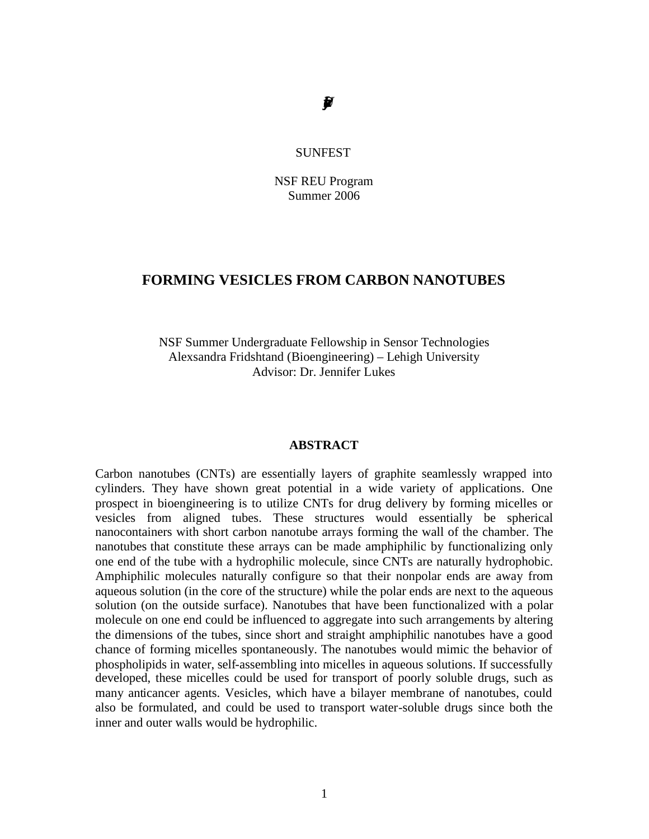# *UniverstyofPenslvai*

#### SUNFEST

NSF REU Program Summer 2006

#### **FORMING VESICLES FROM CARBON NANOTUBES**

NSF Summer Undergraduate Fellowship in Sensor Technologies Alexsandra Fridshtand (Bioengineering) – Lehigh University Advisor: Dr. Jennifer Lukes

#### **ABSTRACT**

Carbon nanotubes (CNTs) are essentially layers of graphite seamlessly wrapped into cylinders. They have shown great potential in a wide variety of applications. One prospect in bioengineering is to utilize CNTs for drug delivery by forming micelles or vesicles from aligned tubes. These structures would essentially be spherical nanocontainers with short carbon nanotube arrays forming the wall of the chamber. The nanotubes that constitute these arrays can be made amphiphilic by functionalizing only one end of the tube with a hydrophilic molecule, since CNTs are naturally hydrophobic. Amphiphilic molecules naturally configure so that their nonpolar ends are away from aqueous solution (in the core of the structure) while the polar ends are next to the aqueous solution (on the outside surface). Nanotubes that have been functionalized with a polar molecule on one end could be influenced to aggregate into such arrangements by altering the dimensions of the tubes, since short and straight amphiphilic nanotubes have a good chance of forming micelles spontaneously. The nanotubes would mimic the behavior of phospholipids in water, self-assembling into micelles in aqueous solutions. If successfully developed, these micelles could be used for transport of poorly soluble drugs, such as many anticancer agents. Vesicles, which have a bilayer membrane of nanotubes, could also be formulated, and could be used to transport water-soluble drugs since both the inner and outer walls would be hydrophilic.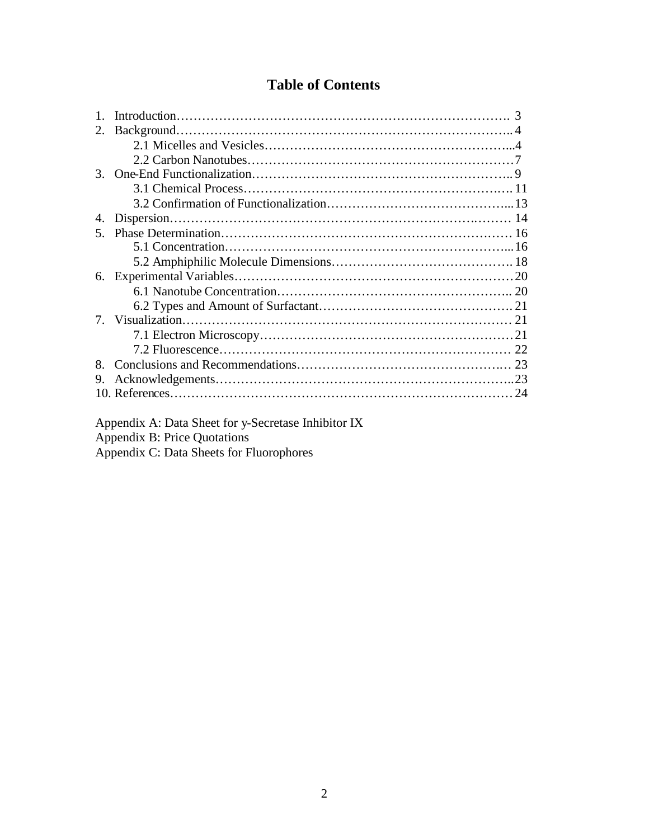# **Table of Contents**

| 2.      |  |    |  |
|---------|--|----|--|
|         |  |    |  |
|         |  |    |  |
| $3_{-}$ |  |    |  |
|         |  |    |  |
|         |  |    |  |
| 4.      |  |    |  |
| 5.      |  |    |  |
|         |  |    |  |
|         |  |    |  |
| 6.      |  |    |  |
|         |  |    |  |
|         |  |    |  |
|         |  |    |  |
|         |  |    |  |
|         |  |    |  |
| 8.      |  |    |  |
| 9.      |  |    |  |
|         |  | 24 |  |
|         |  |    |  |

Appendix A: Data Sheet for y-Secretase Inhibitor IX Appendix B: Price Quotations

Appendix C: Data Sheets for Fluorophores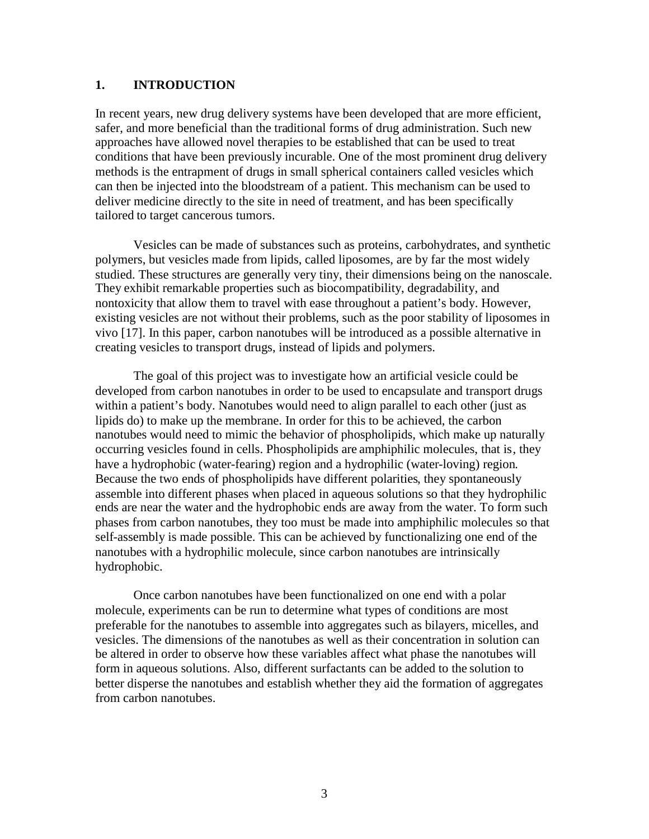#### **1. INTRODUCTION**

In recent years, new drug delivery systems have been developed that are more efficient, safer, and more beneficial than the traditional forms of drug administration. Such new approaches have allowed novel therapies to be established that can be used to treat conditions that have been previously incurable. One of the most prominent drug delivery methods is the entrapment of drugs in small spherical containers called vesicles which can then be injected into the bloodstream of a patient. This mechanism can be used to deliver medicine directly to the site in need of treatment, and has been specifically tailored to target cancerous tumors.

Vesicles can be made of substances such as proteins, carbohydrates, and synthetic polymers, but vesicles made from lipids, called liposomes, are by far the most widely studied. These structures are generally very tiny, their dimensions being on the nanoscale. They exhibit remarkable properties such as biocompatibility, degradability, and nontoxicity that allow them to travel with ease throughout a patient's body. However, existing vesicles are not without their problems, such as the poor stability of liposomes in vivo [17]. In this paper, carbon nanotubes will be introduced as a possible alternative in creating vesicles to transport drugs, instead of lipids and polymers.

The goal of this project was to investigate how an artificial vesicle could be developed from carbon nanotubes in order to be used to encapsulate and transport drugs within a patient's body. Nanotubes would need to align parallel to each other (just as lipids do) to make up the membrane. In order for this to be achieved, the carbon nanotubes would need to mimic the behavior of phospholipids, which make up naturally occurring vesicles found in cells. Phospholipids are amphiphilic molecules, that is, they have a hydrophobic (water-fearing) region and a hydrophilic (water-loving) region. Because the two ends of phospholipids have different polarities, they spontaneously assemble into different phases when placed in aqueous solutions so that they hydrophilic ends are near the water and the hydrophobic ends are away from the water. To form such phases from carbon nanotubes, they too must be made into amphiphilic molecules so that self-assembly is made possible. This can be achieved by functionalizing one end of the nanotubes with a hydrophilic molecule, since carbon nanotubes are intrinsically hydrophobic.

Once carbon nanotubes have been functionalized on one end with a polar molecule, experiments can be run to determine what types of conditions are most preferable for the nanotubes to assemble into aggregates such as bilayers, micelles, and vesicles. The dimensions of the nanotubes as well as their concentration in solution can be altered in order to observe how these variables affect what phase the nanotubes will form in aqueous solutions. Also, different surfactants can be added to the solution to better disperse the nanotubes and establish whether they aid the formation of aggregates from carbon nanotubes.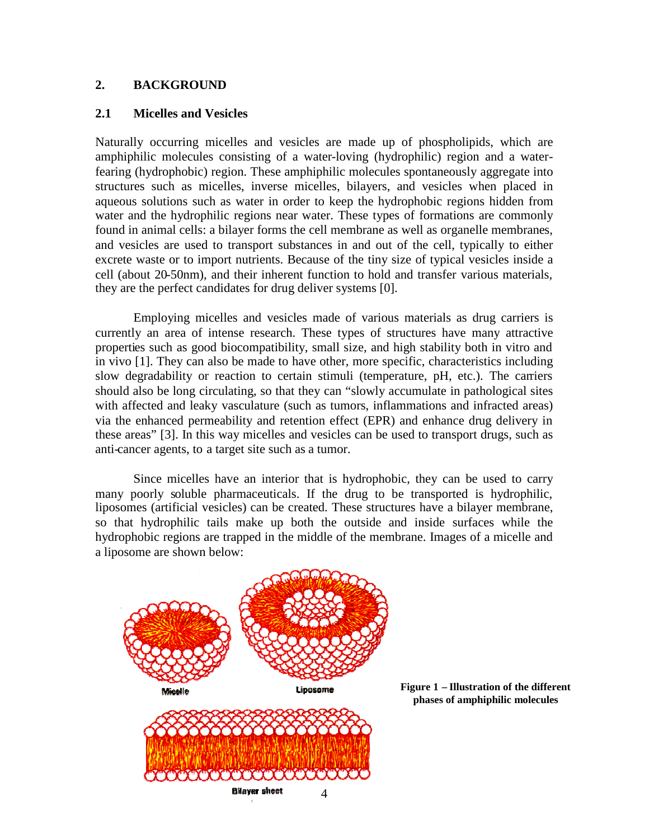#### **2. BACKGROUND**

#### **2.1 Micelles and Vesicles**

Naturally occurring micelles and vesicles are made up of phospholipids, which are amphiphilic molecules consisting of a water-loving (hydrophilic) region and a waterfearing (hydrophobic) region. These amphiphilic molecules spontaneously aggregate into structures such as micelles, inverse micelles, bilayers, and vesicles when placed in aqueous solutions such as water in order to keep the hydrophobic regions hidden from water and the hydrophilic regions near water. These types of formations are commonly found in animal cells: a bilayer forms the cell membrane as well as organelle membranes, and vesicles are used to transport substances in and out of the cell, typically to either excrete waste or to import nutrients. Because of the tiny size of typical vesicles inside a cell (about 20-50nm), and their inherent function to hold and transfer various materials, they are the perfect candidates for drug deliver systems [0].

Employing micelles and vesicles made of various materials as drug carriers is currently an area of intense research. These types of structures have many attractive properties such as good biocompatibility, small size, and high stability both in vitro and in vivo [1]. They can also be made to have other, more specific, characteristics including slow degradability or reaction to certain stimuli (temperature, pH, etc.). The carriers should also be long circulating, so that they can "slowly accumulate in pathological sites with affected and leaky vasculature (such as tumors, inflammations and infracted areas) via the enhanced permeability and retention effect (EPR) and enhance drug delivery in these areas" [3]. In this way micelles and vesicles can be used to transport drugs, such as anti-cancer agents, to a target site such as a tumor.

Since micelles have an interior that is hydrophobic, they can be used to carry many poorly soluble pharmaceuticals. If the drug to be transported is hydrophilic, liposomes (artificial vesicles) can be created. These structures have a bilayer membrane, so that hydrophilic tails make up both the outside and inside surfaces while the hydrophobic regions are trapped in the middle of the membrane. Images of a micelle and a liposome are shown below:



**Figure 1 – Illustration of the different phases of amphiphilic molecules**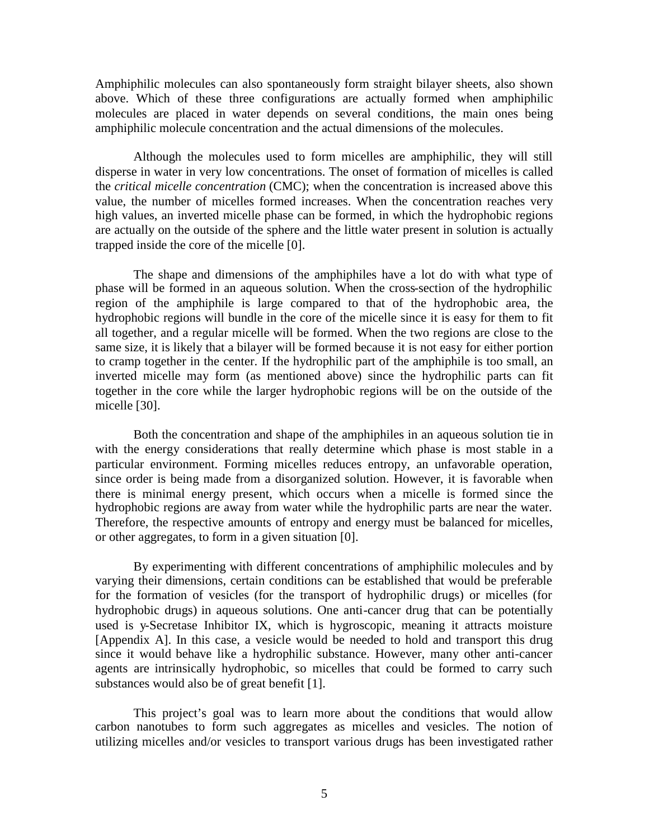Amphiphilic molecules can also spontaneously form straight bilayer sheets, also shown above. Which of these three configurations are actually formed when amphiphilic molecules are placed in water depends on several conditions, the main ones being amphiphilic molecule concentration and the actual dimensions of the molecules.

Although the molecules used to form micelles are amphiphilic, they will still disperse in water in very low concentrations. The onset of formation of micelles is called the *critical micelle concentration* (CMC); when the concentration is increased above this value, the number of micelles formed increases. When the concentration reaches very high values, an inverted micelle phase can be formed, in which the hydrophobic regions are actually on the outside of the sphere and the little water present in solution is actually trapped inside the core of the micelle [0].

The shape and dimensions of the amphiphiles have a lot do with what type of phase will be formed in an aqueous solution. When the cross-section of the hydrophilic region of the amphiphile is large compared to that of the hydrophobic area, the hydrophobic regions will bundle in the core of the micelle since it is easy for them to fit all together, and a regular micelle will be formed. When the two regions are close to the same size, it is likely that a bilayer will be formed because it is not easy for either portion to cramp together in the center. If the hydrophilic part of the amphiphile is too small, an inverted micelle may form (as mentioned above) since the hydrophilic parts can fit together in the core while the larger hydrophobic regions will be on the outside of the micelle [30].

Both the concentration and shape of the amphiphiles in an aqueous solution tie in with the energy considerations that really determine which phase is most stable in a particular environment. Forming micelles reduces entropy, an unfavorable operation, since order is being made from a disorganized solution. However, it is favorable when there is minimal energy present, which occurs when a micelle is formed since the hydrophobic regions are away from water while the hydrophilic parts are near the water. Therefore, the respective amounts of entropy and energy must be balanced for micelles, or other aggregates, to form in a given situation [0].

By experimenting with different concentrations of amphiphilic molecules and by varying their dimensions, certain conditions can be established that would be preferable for the formation of vesicles (for the transport of hydrophilic drugs) or micelles (for hydrophobic drugs) in aqueous solutions. One anti-cancer drug that can be potentially used is y-Secretase Inhibitor IX, which is hygroscopic, meaning it attracts moisture [Appendix A]. In this case, a vesicle would be needed to hold and transport this drug since it would behave like a hydrophilic substance. However, many other anti-cancer agents are intrinsically hydrophobic, so micelles that could be formed to carry such substances would also be of great benefit [1].

This project's goal was to learn more about the conditions that would allow carbon nanotubes to form such aggregates as micelles and vesicles. The notion of utilizing micelles and/or vesicles to transport various drugs has been investigated rather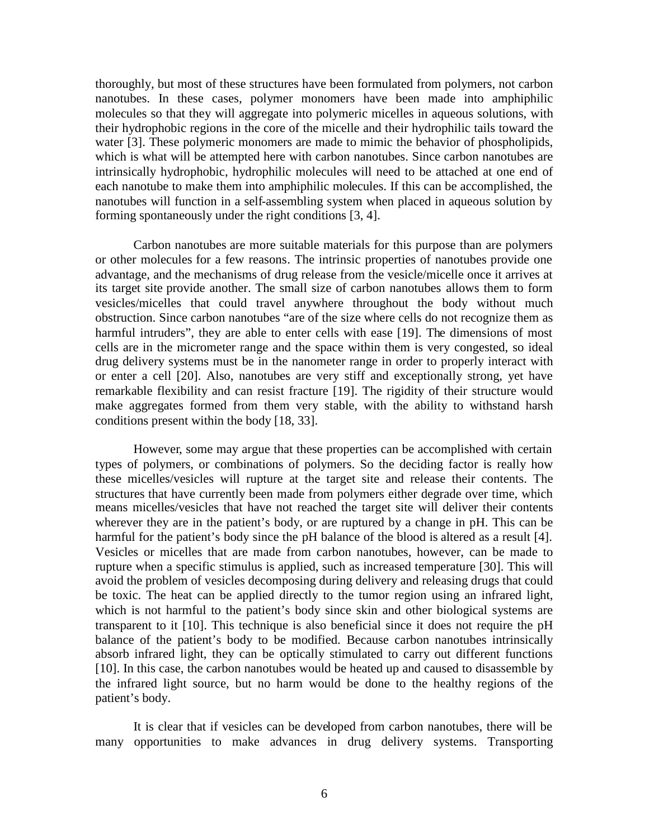thoroughly, but most of these structures have been formulated from polymers, not carbon nanotubes. In these cases, polymer monomers have been made into amphiphilic molecules so that they will aggregate into polymeric micelles in aqueous solutions, with their hydrophobic regions in the core of the micelle and their hydrophilic tails toward the water [3]. These polymeric monomers are made to mimic the behavior of phospholipids, which is what will be attempted here with carbon nanotubes. Since carbon nanotubes are intrinsically hydrophobic, hydrophilic molecules will need to be attached at one end of each nanotube to make them into amphiphilic molecules. If this can be accomplished, the nanotubes will function in a self-assembling system when placed in aqueous solution by forming spontaneously under the right conditions [3, 4].

Carbon nanotubes are more suitable materials for this purpose than are polymers or other molecules for a few reasons. The intrinsic properties of nanotubes provide one advantage, and the mechanisms of drug release from the vesicle/micelle once it arrives at its target site provide another. The small size of carbon nanotubes allows them to form vesicles/micelles that could travel anywhere throughout the body without much obstruction. Since carbon nanotubes "are of the size where cells do not recognize them as harmful intruders", they are able to enter cells with ease [19]. The dimensions of most cells are in the micrometer range and the space within them is very congested, so ideal drug delivery systems must be in the nanometer range in order to properly interact with or enter a cell [20]. Also, nanotubes are very stiff and exceptionally strong, yet have remarkable flexibility and can resist fracture [19]. The rigidity of their structure would make aggregates formed from them very stable, with the ability to withstand harsh conditions present within the body [18, 33].

However, some may argue that these properties can be accomplished with certain types of polymers, or combinations of polymers. So the deciding factor is really how these micelles/vesicles will rupture at the target site and release their contents. The structures that have currently been made from polymers either degrade over time, which means micelles/vesicles that have not reached the target site will deliver their contents wherever they are in the patient's body, or are ruptured by a change in pH. This can be harmful for the patient's body since the pH balance of the blood is altered as a result [4]. Vesicles or micelles that are made from carbon nanotubes, however, can be made to rupture when a specific stimulus is applied, such as increased temperature [30]. This will avoid the problem of vesicles decomposing during delivery and releasing drugs that could be toxic. The heat can be applied directly to the tumor region using an infrared light, which is not harmful to the patient's body since skin and other biological systems are transparent to it [10]. This technique is also beneficial since it does not require the pH balance of the patient's body to be modified. Because carbon nanotubes intrinsically absorb infrared light, they can be optically stimulated to carry out different functions [10]. In this case, the carbon nanotubes would be heated up and caused to disassemble by the infrared light source, but no harm would be done to the healthy regions of the patient's body.

It is clear that if vesicles can be developed from carbon nanotubes, there will be many opportunities to make advances in drug delivery systems. Transporting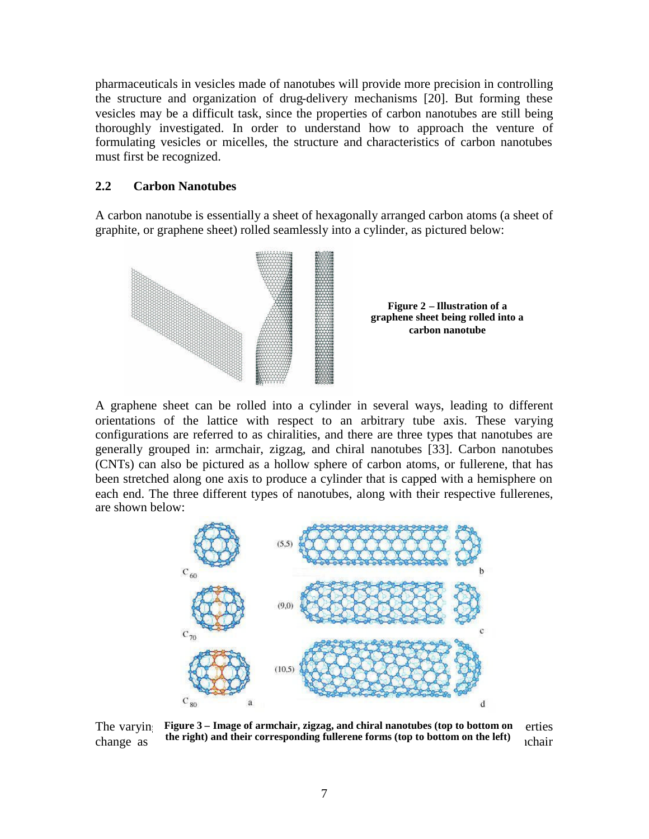pharmaceuticals in vesicles made of nanotubes will provide more precision in controlling the structure and organization of drug-delivery mechanisms [20]. But forming these vesicles may be a difficult task, since the properties of carbon nanotubes are still being thoroughly investigated. In order to understand how to approach the venture of formulating vesicles or micelles, the structure and characteristics of carbon nanotubes must first be recognized.

#### **2.2 Carbon Nanotubes**

A carbon nanotube is essentially a sheet of hexagonally arranged carbon atoms (a sheet of graphite, or graphene sheet) rolled seamlessly into a cylinder, as pictured below:





A graphene sheet can be rolled into a cylinder in several ways, leading to different orientations of the lattice with respect to an arbitrary tube axis. These varying configurations are referred to as chiralities, and there are three types that nanotubes are generally grouped in: armchair, zigzag, and chiral nanotubes [33]. Carbon nanotubes (CNTs) can also be pictured as a hollow sphere of carbon atoms, or fullerene, that has been stretched along one axis to produce a cylinder that is capped with a hemisphere on each end. The three different types of nanotubes, along with their respective fullerenes, are shown below:



The varyin Figure 3 – Image of armchair, zigzag, and chiral nanotubes (top to bottom on erties change as **the right) and their corresponding fullerene forms (top to bottom on the left)** chair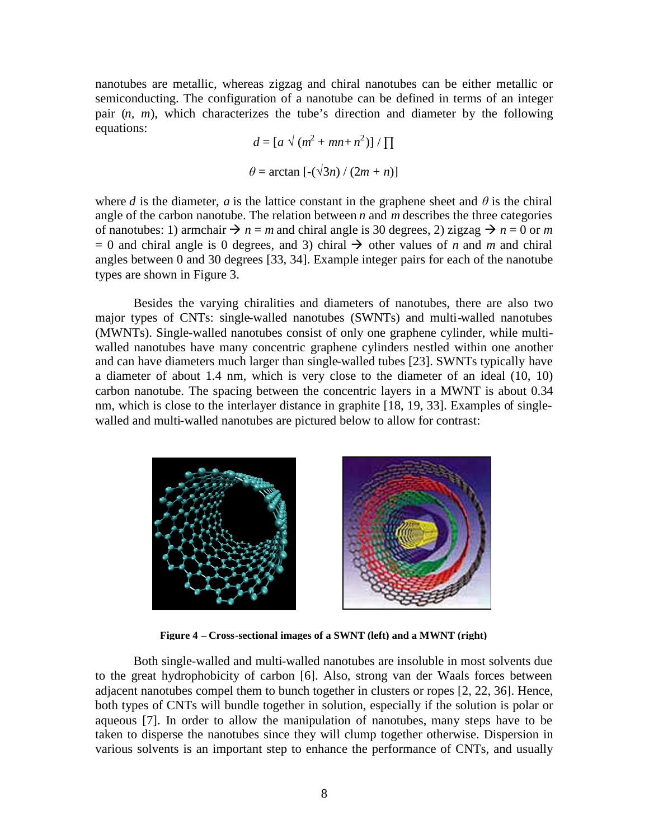nanotubes are metallic, whereas zigzag and chiral nanotubes can be either metallic or semiconducting. The configuration of a nanotube can be defined in terms of an integer pair (*n, m*), which characterizes the tube's direction and diameter by the following equations:

$$
d = [a \sqrt{(m^2 + mn + n^2)}] / \prod
$$

$$
\theta = \arctan [-(\sqrt{3}n) / (2m + n)]
$$

where *d* is the diameter, *a* is the lattice constant in the graphene sheet and  $\theta$  is the chiral angle of the carbon nanotube. The relation between *n* and *m* describes the three categories of nanotubes: 1) armchair  $\rightarrow n = m$  and chiral angle is 30 degrees, 2) zigzag  $\rightarrow n = 0$  or *m*  $= 0$  and chiral angle is 0 degrees, and 3) chiral  $\rightarrow$  other values of *n* and *m* and chiral angles between 0 and 30 degrees [33, 34]. Example integer pairs for each of the nanotube types are shown in Figure 3.

Besides the varying chiralities and diameters of nanotubes, there are also two major types of CNTs: single-walled nanotubes (SWNTs) and multi-walled nanotubes (MWNTs). Single-walled nanotubes consist of only one graphene cylinder, while multiwalled nanotubes have many concentric graphene cylinders nestled within one another and can have diameters much larger than single-walled tubes [23]. SWNTs typically have a diameter of about 1.4 nm, which is very close to the diameter of an ideal (10, 10) carbon nanotube. The spacing between the concentric layers in a MWNT is about 0.34 nm, which is close to the interlayer distance in graphite [18, 19, 33]. Examples of singlewalled and multi-walled nanotubes are pictured below to allow for contrast:



**Figure 4 – Cross-sectional images of a SWNT (left) and a MWNT (right)**

Both single-walled and multi-walled nanotubes are insoluble in most solvents due to the great hydrophobicity of carbon [6]. Also, strong van der Waals forces between adjacent nanotubes compel them to bunch together in clusters or ropes [2, 22, 36]. Hence, both types of CNTs will bundle together in solution, especially if the solution is polar or aqueous [7]. In order to allow the manipulation of nanotubes, many steps have to be taken to disperse the nanotubes since they will clump together otherwise. Dispersion in various solvents is an important step to enhance the performance of CNTs, and usually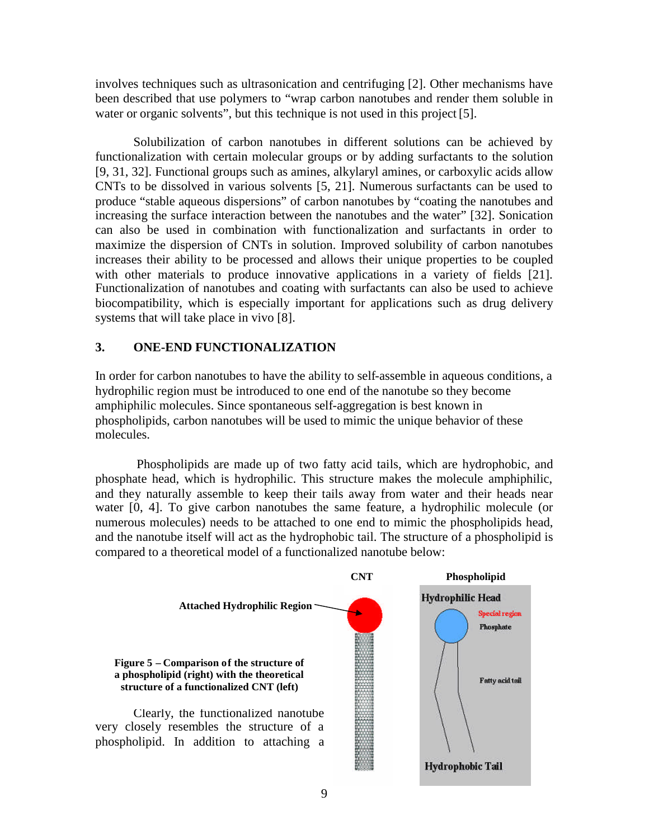involves techniques such as ultrasonication and centrifuging [2]. Other mechanisms have been described that use polymers to "wrap carbon nanotubes and render them soluble in water or organic solvents", but this technique is not used in this project [5].

Solubilization of carbon nanotubes in different solutions can be achieved by functionalization with certain molecular groups or by adding surfactants to the solution [9, 31, 32]. Functional groups such as amines, alkylaryl amines, or carboxylic acids allow CNTs to be dissolved in various solvents [5, 21]. Numerous surfactants can be used to produce "stable aqueous dispersions" of carbon nanotubes by "coating the nanotubes and increasing the surface interaction between the nanotubes and the water" [32]. Sonication can also be used in combination with functionalization and surfactants in order to maximize the dispersion of CNTs in solution. Improved solubility of carbon nanotubes increases their ability to be processed and allows their unique properties to be coupled with other materials to produce innovative applications in a variety of fields [21]. Functionalization of nanotubes and coating with surfactants can also be used to achieve biocompatibility, which is especially important for applications such as drug delivery systems that will take place in vivo [8].

#### **3. ONE-END FUNCTIONALIZATION**

In order for carbon nanotubes to have the ability to self-assemble in aqueous conditions, a hydrophilic region must be introduced to one end of the nanotube so they become amphiphilic molecules. Since spontaneous self-aggregation is best known in phospholipids, carbon nanotubes will be used to mimic the unique behavior of these molecules.

Phospholipids are made up of two fatty acid tails, which are hydrophobic, and phosphate head, which is hydrophilic. This structure makes the molecule amphiphilic, and they naturally assemble to keep their tails away from water and their heads near water [0, 4]. To give carbon nanotubes the same feature, a hydrophilic molecule (or numerous molecules) needs to be attached to one end to mimic the phospholipids head, and the nanotube itself will act as the hydrophobic tail. The structure of a phospholipid is compared to a theoretical model of a functionalized nanotube below:

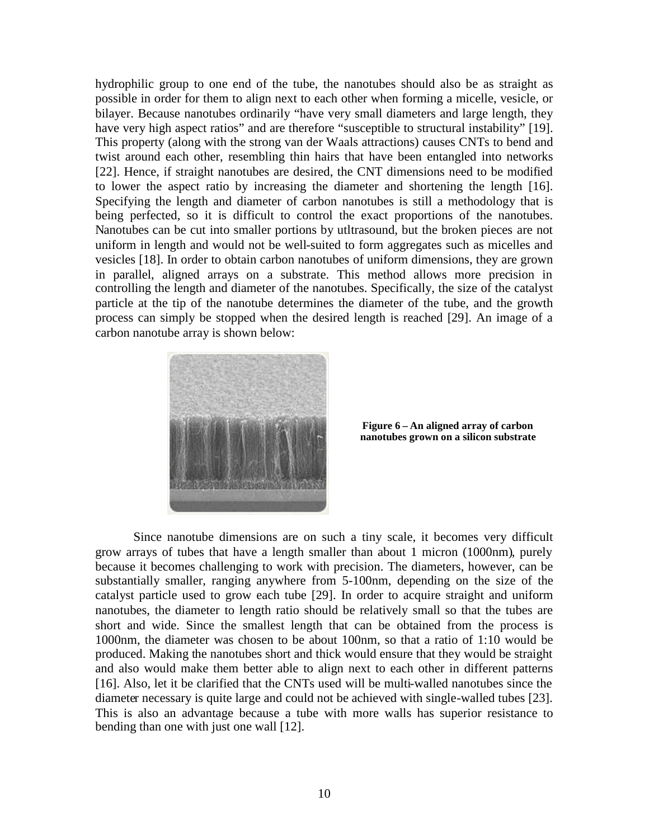hydrophilic group to one end of the tube, the nanotubes should also be as straight as possible in order for them to align next to each other when forming a micelle, vesicle, or bilayer. Because nanotubes ordinarily "have very small diameters and large length, they have very high aspect ratios" and are therefore "susceptible to structural instability" [19]. This property (along with the strong van der Waals attractions) causes CNTs to bend and twist around each other, resembling thin hairs that have been entangled into networks [22]. Hence, if straight nanotubes are desired, the CNT dimensions need to be modified to lower the aspect ratio by increasing the diameter and shortening the length [16]. Specifying the length and diameter of carbon nanotubes is still a methodology that is being perfected, so it is difficult to control the exact proportions of the nanotubes. Nanotubes can be cut into smaller portions by utltrasound, but the broken pieces are not uniform in length and would not be well-suited to form aggregates such as micelles and vesicles [18]. In order to obtain carbon nanotubes of uniform dimensions, they are grown in parallel, aligned arrays on a substrate. This method allows more precision in controlling the length and diameter of the nanotubes. Specifically, the size of the catalyst particle at the tip of the nanotube determines the diameter of the tube, and the growth process can simply be stopped when the desired length is reached [29]. An image of a carbon nanotube array is shown below:



**Figure 6 – An aligned array of carbon nanotubes grown on a silicon substrate**

Since nanotube dimensions are on such a tiny scale, it becomes very difficult grow arrays of tubes that have a length smaller than about 1 micron (1000nm), purely because it becomes challenging to work with precision. The diameters, however, can be substantially smaller, ranging anywhere from 5-100nm, depending on the size of the catalyst particle used to grow each tube [29]. In order to acquire straight and uniform nanotubes, the diameter to length ratio should be relatively small so that the tubes are short and wide. Since the smallest length that can be obtained from the process is 1000nm, the diameter was chosen to be about 100nm, so that a ratio of 1:10 would be produced. Making the nanotubes short and thick would ensure that they would be straight and also would make them better able to align next to each other in different patterns [16]. Also, let it be clarified that the CNTs used will be multi-walled nanotubes since the diameter necessary is quite large and could not be achieved with single-walled tubes [23]. This is also an advantage because a tube with more walls has superior resistance to bending than one with just one wall [12].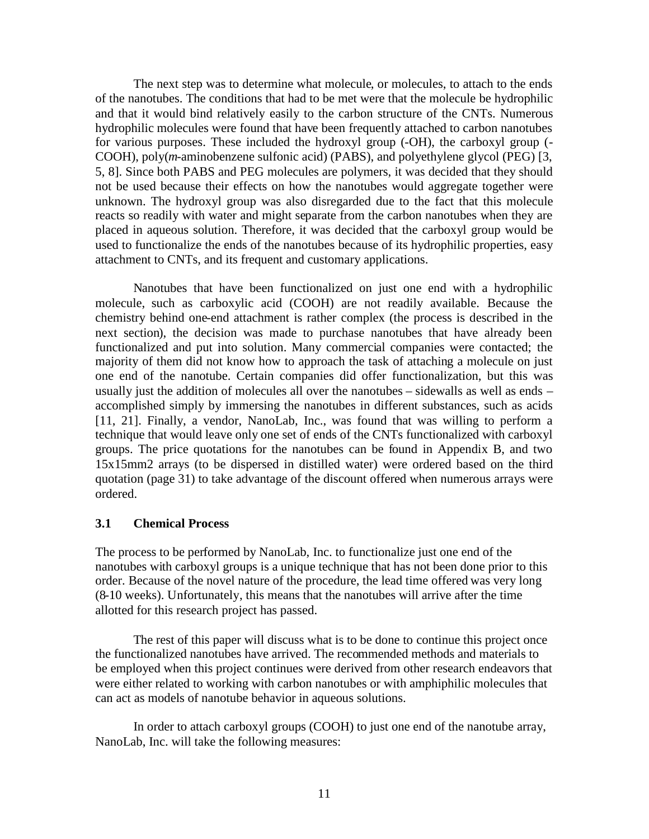The next step was to determine what molecule, or molecules, to attach to the ends of the nanotubes. The conditions that had to be met were that the molecule be hydrophilic and that it would bind relatively easily to the carbon structure of the CNTs. Numerous hydrophilic molecules were found that have been frequently attached to carbon nanotubes for various purposes. These included the hydroxyl group (-OH), the carboxyl group (- COOH), poly(*m*-aminobenzene sulfonic acid) (PABS), and polyethylene glycol (PEG) [3, 5, 8]. Since both PABS and PEG molecules are polymers, it was decided that they should not be used because their effects on how the nanotubes would aggregate together were unknown. The hydroxyl group was also disregarded due to the fact that this molecule reacts so readily with water and might separate from the carbon nanotubes when they are placed in aqueous solution. Therefore, it was decided that the carboxyl group would be used to functionalize the ends of the nanotubes because of its hydrophilic properties, easy attachment to CNTs, and its frequent and customary applications.

Nanotubes that have been functionalized on just one end with a hydrophilic molecule, such as carboxylic acid (COOH) are not readily available. Because the chemistry behind one-end attachment is rather complex (the process is described in the next section), the decision was made to purchase nanotubes that have already been functionalized and put into solution. Many commercial companies were contacted; the majority of them did not know how to approach the task of attaching a molecule on just one end of the nanotube. Certain companies did offer functionalization, but this was usually just the addition of molecules all over the nanotubes – sidewalls as well as ends – accomplished simply by immersing the nanotubes in different substances, such as acids [11, 21]. Finally, a vendor, NanoLab, Inc., was found that was willing to perform a technique that would leave only one set of ends of the CNTs functionalized with carboxyl groups. The price quotations for the nanotubes can be found in Appendix B, and two 15x15mm2 arrays (to be dispersed in distilled water) were ordered based on the third quotation (page 31) to take advantage of the discount offered when numerous arrays were ordered.

#### **3.1 Chemical Process**

The process to be performed by NanoLab, Inc. to functionalize just one end of the nanotubes with carboxyl groups is a unique technique that has not been done prior to this order. Because of the novel nature of the procedure, the lead time offered was very long (8-10 weeks). Unfortunately, this means that the nanotubes will arrive after the time allotted for this research project has passed.

The rest of this paper will discuss what is to be done to continue this project once the functionalized nanotubes have arrived. The recommended methods and materials to be employed when this project continues were derived from other research endeavors that were either related to working with carbon nanotubes or with amphiphilic molecules that can act as models of nanotube behavior in aqueous solutions.

In order to attach carboxyl groups (COOH) to just one end of the nanotube array, NanoLab, Inc. will take the following measures: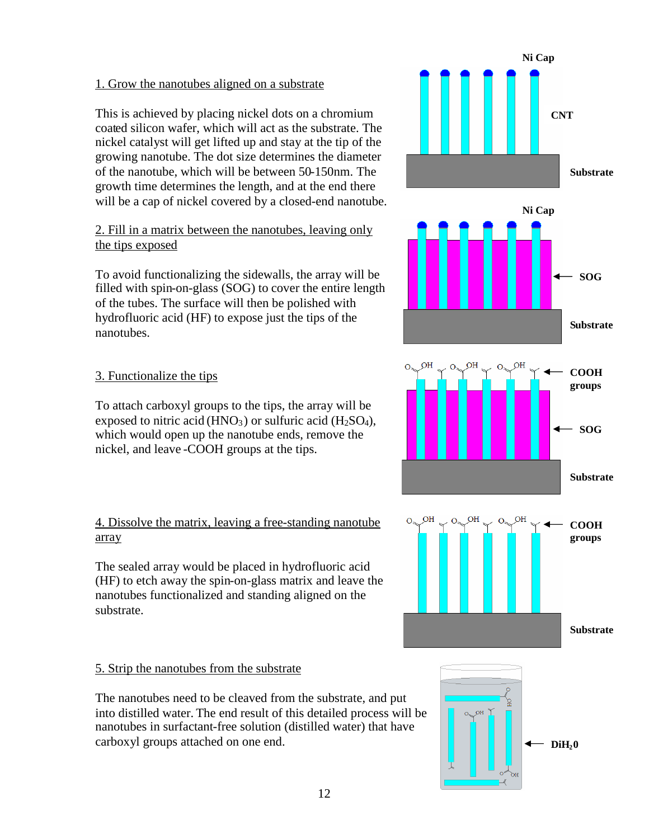#### 1. Grow the nanotubes aligned on a substrate

This is achieved by placing nickel dots on a chromium coated silicon wafer, which will act as the substrate. The nickel catalyst will get lifted up and stay at the tip of the growing nanotube. The dot size determines the diameter of the nanotube, which will be between 50-150nm. The growth time determines the length, and at the end there will be a cap of nickel covered by a closed-end nanotube.

#### 2. Fill in a matrix between the nanotubes, leaving only the tips exposed

To avoid functionalizing the sidewalls, the array will be filled with spin-on-glass (SOG) to cover the entire length of the tubes. The surface will then be polished with hydrofluoric acid (HF) to expose just the tips of the nanotubes.

#### 3. Functionalize the tips

To attach carboxyl groups to the tips, the array will be exposed to nitric acid (HNO<sub>3</sub>) or sulfuric acid (H<sub>2</sub>SO<sub>4</sub>), which would open up the nanotube ends, remove the nickel, and leave -COOH groups at the tips.

#### 4. Dissolve the matrix, leaving a free-standing nanotube array

The sealed array would be placed in hydrofluoric acid (HF) to etch away the spin-on-glass matrix and leave the nanotubes functionalized and standing aligned on the substrate.

#### 5. Strip the nanotubes from the substrate

The nanotubes need to be cleaved from the substrate, and put into distilled water. The end result of this detailed process will be nanotubes in surfactant-free solution (distilled water) that have carboxyl groups attached on one end.

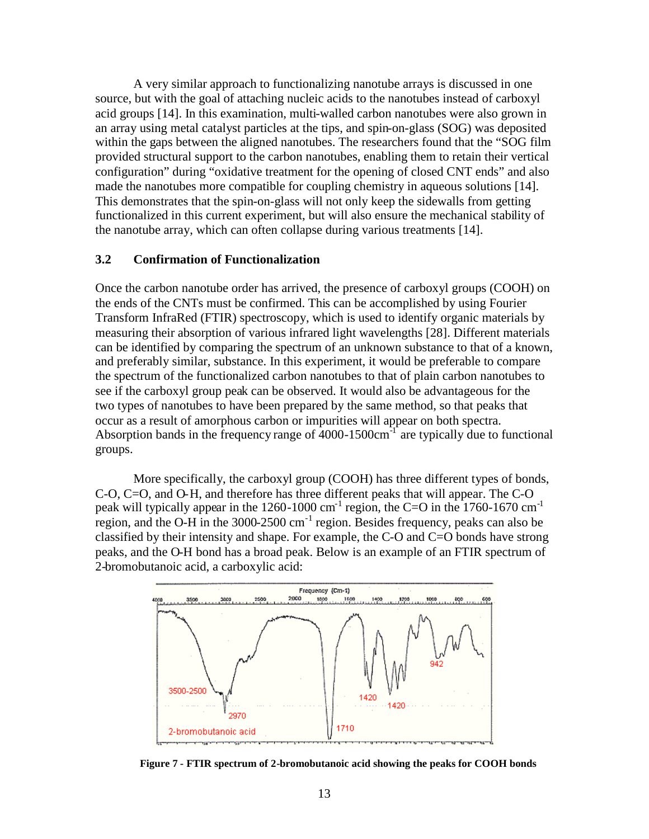A very similar approach to functionalizing nanotube arrays is discussed in one source, but with the goal of attaching nucleic acids to the nanotubes instead of carboxyl acid groups [14]. In this examination, multi-walled carbon nanotubes were also grown in an array using metal catalyst particles at the tips, and spin-on-glass (SOG) was deposited within the gaps between the aligned nanotubes. The researchers found that the "SOG film provided structural support to the carbon nanotubes, enabling them to retain their vertical configuration" during "oxidative treatment for the opening of closed CNT ends" and also made the nanotubes more compatible for coupling chemistry in aqueous solutions [14]. This demonstrates that the spin-on-glass will not only keep the sidewalls from getting functionalized in this current experiment, but will also ensure the mechanical stability of the nanotube array, which can often collapse during various treatments [14].

#### **3.2 Confirmation of Functionalization**

Once the carbon nanotube order has arrived, the presence of carboxyl groups (COOH) on the ends of the CNTs must be confirmed. This can be accomplished by using Fourier Transform InfraRed (FTIR) spectroscopy, which is used to identify organic materials by measuring their absorption of various infrared light wavelengths [28]. Different materials can be identified by comparing the spectrum of an unknown substance to that of a known, and preferably similar, substance. In this experiment, it would be preferable to compare the spectrum of the functionalized carbon nanotubes to that of plain carbon nanotubes to see if the carboxyl group peak can be observed. It would also be advantageous for the two types of nanotubes to have been prepared by the same method, so that peaks that occur as a result of amorphous carbon or impurities will appear on both spectra. Absorption bands in the frequency range of  $4000-1500 \text{cm}^{-1}$  are typically due to functional groups.

More specifically, the carboxyl group (COOH) has three different types of bonds, C-O, C=O, and O-H, and therefore has three different peaks that will appear. The C-O peak will typically appear in the 1260-1000 cm<sup>-1</sup> region, the C=O in the 1760-1670 cm<sup>-1</sup> region, and the O-H in the 3000-2500 cm-1 region. Besides frequency, peaks can also be classified by their intensity and shape. For example, the C-O and  $C=O$  bonds have strong peaks, and the O-H bond has a broad peak. Below is an example of an FTIR spectrum of 2-bromobutanoic acid, a carboxylic acid:



**Figure 7 - FTIR spectrum of 2-bromobutanoic acid showing the peaks for COOH bonds**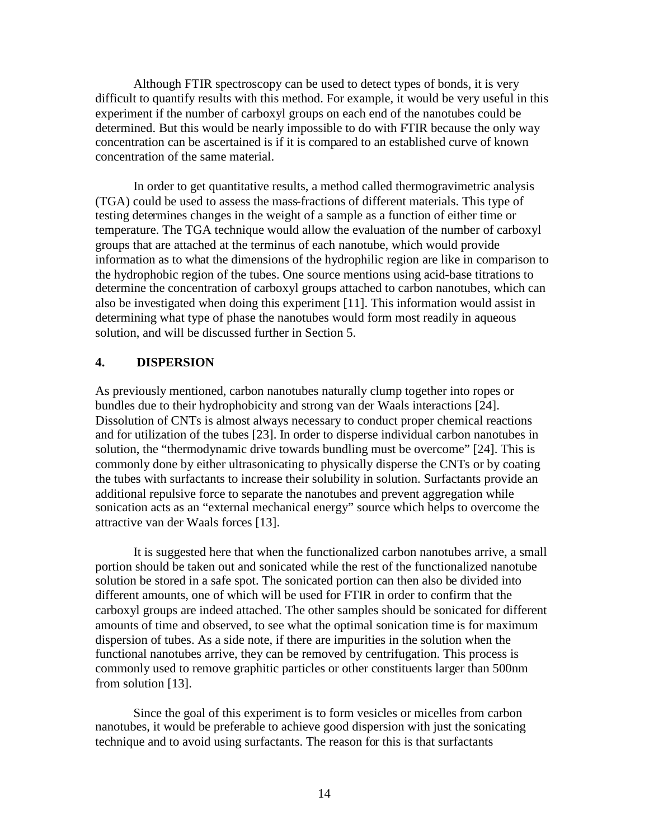Although FTIR spectroscopy can be used to detect types of bonds, it is very difficult to quantify results with this method. For example, it would be very useful in this experiment if the number of carboxyl groups on each end of the nanotubes could be determined. But this would be nearly impossible to do with FTIR because the only way concentration can be ascertained is if it is compared to an established curve of known concentration of the same material.

In order to get quantitative results, a method called thermogravimetric analysis (TGA) could be used to assess the mass-fractions of different materials. This type of testing determines changes in the weight of a sample as a function of either time or temperature. The TGA technique would allow the evaluation of the number of carboxyl groups that are attached at the terminus of each nanotube, which would provide information as to what the dimensions of the hydrophilic region are like in comparison to the hydrophobic region of the tubes. One source mentions using acid-base titrations to determine the concentration of carboxyl groups attached to carbon nanotubes, which can also be investigated when doing this experiment [11]. This information would assist in determining what type of phase the nanotubes would form most readily in aqueous solution, and will be discussed further in Section 5.

#### **4. DISPERSION**

As previously mentioned, carbon nanotubes naturally clump together into ropes or bundles due to their hydrophobicity and strong van der Waals interactions [24]. Dissolution of CNTs is almost always necessary to conduct proper chemical reactions and for utilization of the tubes [23]. In order to disperse individual carbon nanotubes in solution, the "thermodynamic drive towards bundling must be overcome" [24]. This is commonly done by either ultrasonicating to physically disperse the CNTs or by coating the tubes with surfactants to increase their solubility in solution. Surfactants provide an additional repulsive force to separate the nanotubes and prevent aggregation while sonication acts as an "external mechanical energy" source which helps to overcome the attractive van der Waals forces [13].

It is suggested here that when the functionalized carbon nanotubes arrive, a small portion should be taken out and sonicated while the rest of the functionalized nanotube solution be stored in a safe spot. The sonicated portion can then also be divided into different amounts, one of which will be used for FTIR in order to confirm that the carboxyl groups are indeed attached. The other samples should be sonicated for different amounts of time and observed, to see what the optimal sonication time is for maximum dispersion of tubes. As a side note, if there are impurities in the solution when the functional nanotubes arrive, they can be removed by centrifugation. This process is commonly used to remove graphitic particles or other constituents larger than 500nm from solution [13].

Since the goal of this experiment is to form vesicles or micelles from carbon nanotubes, it would be preferable to achieve good dispersion with just the sonicating technique and to avoid using surfactants. The reason for this is that surfactants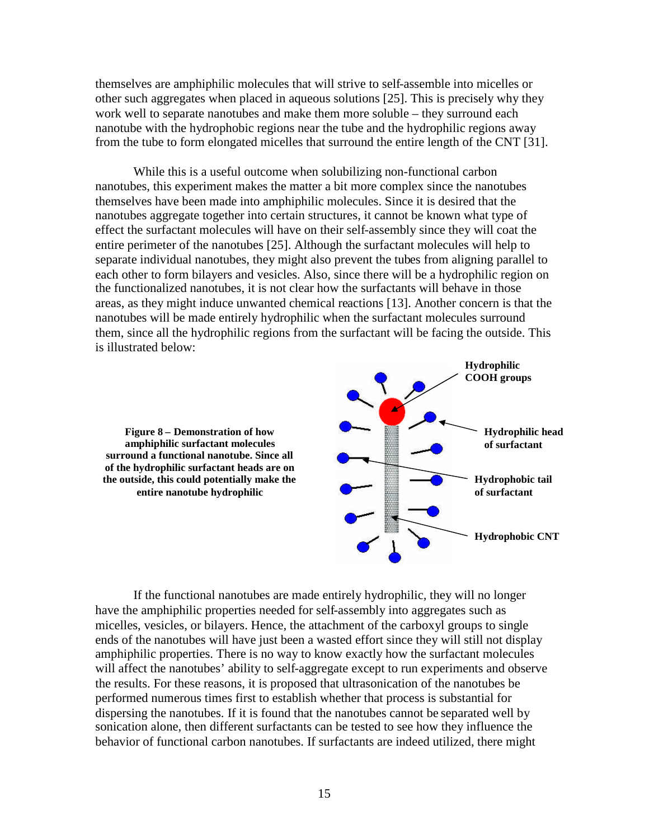themselves are amphiphilic molecules that will strive to self-assemble into micelles or other such aggregates when placed in aqueous solutions [25]. This is precisely why they work well to separate nanotubes and make them more soluble – they surround each nanotube with the hydrophobic regions near the tube and the hydrophilic regions away from the tube to form elongated micelles that surround the entire length of the CNT [31].

While this is a useful outcome when solubilizing non-functional carbon nanotubes, this experiment makes the matter a bit more complex since the nanotubes themselves have been made into amphiphilic molecules. Since it is desired that the nanotubes aggregate together into certain structures, it cannot be known what type of effect the surfactant molecules will have on their self-assembly since they will coat the entire perimeter of the nanotubes [25]. Although the surfactant molecules will help to separate individual nanotubes, they might also prevent the tubes from aligning parallel to each other to form bilayers and vesicles. Also, since there will be a hydrophilic region on the functionalized nanotubes, it is not clear how the surfactants will behave in those areas, as they might induce unwanted chemical reactions [13]. Another concern is that the nanotubes will be made entirely hydrophilic when the surfactant molecules surround them, since all the hydrophilic regions from the surfactant will be facing the outside. This is illustrated below:



If the functional nanotubes are made entirely hydrophilic, they will no longer have the amphiphilic properties needed for self-assembly into aggregates such as micelles, vesicles, or bilayers. Hence, the attachment of the carboxyl groups to single ends of the nanotubes will have just been a wasted effort since they will still not display amphiphilic properties. There is no way to know exactly how the surfactant molecules will affect the nanotubes' ability to self-aggregate except to run experiments and observe the results. For these reasons, it is proposed that ultrasonication of the nanotubes be performed numerous times first to establish whether that process is substantial for dispersing the nanotubes. If it is found that the nanotubes cannot be separated well by sonication alone, then different surfactants can be tested to see how they influence the behavior of functional carbon nanotubes. If surfactants are indeed utilized, there might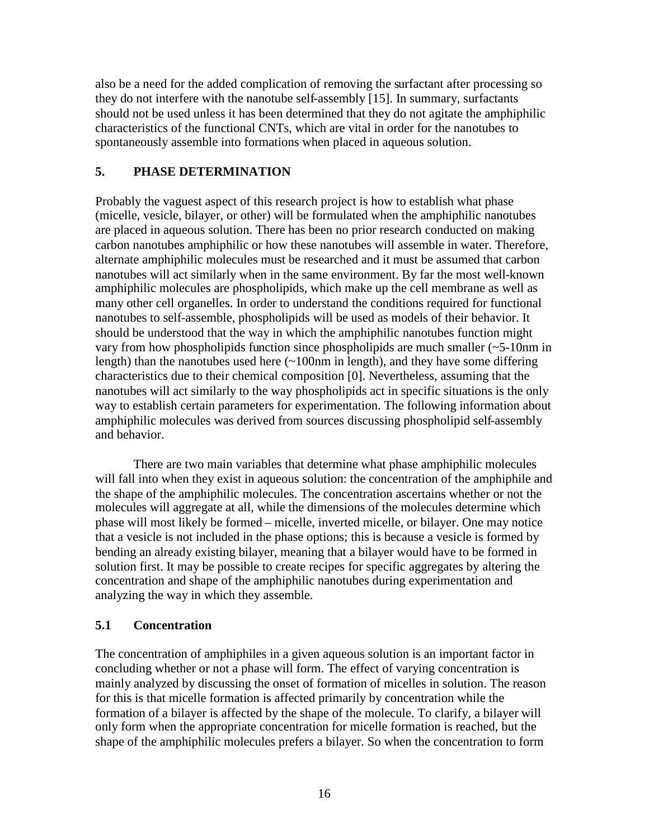also be a need for the added complication of removing the surfactant after processing so they do not interfere with the nanotube self-assembly [15]. In summary, surfactants should not be used unless it has been determined that they do not agitate the amphiphilic characteristics of the functional CNTs, which are vital in order for the nanotubes to spontaneously assemble into formations when placed in aqueous solution.

#### **5. PHASE DETERMINATION**

Probably the vaguest aspect of this research project is how to establish what phase (micelle, vesicle, bilayer, or other) will be formulated when the amphiphilic nanotubes are placed in aqueous solution. There has been no prior research conducted on making carbon nanotubes amphiphilic or how these nanotubes will assemble in water. Therefore, alternate amphiphilic molecules must be researched and it must be assumed that carbon nanotubes will act similarly when in the same environment. By far the most well-known amphiphilic molecules are phospholipids, which make up the cell membrane as well as many other cell organelles. In order to understand the conditions required for functional nanotubes to self-assemble, phospholipids will be used as models of their behavior. It should be understood that the way in which the amphiphilic nanotubes function might vary from how phospholipids function since phospholipids are much smaller (~5-10nm in length) than the nanotubes used here  $(-100$ nm in length), and they have some differing characteristics due to their chemical composition [0]. Nevertheless, assuming that the nanotubes will act similarly to the way phospholipids act in specific situations is the only way to establish certain parameters for experimentation. The following information about amphiphilic molecules was derived from sources discussing phospholipid self-assembly and behavior.

There are two main variables that determine what phase amphiphilic molecules will fall into when they exist in aqueous solution: the concentration of the amphiphile and the shape of the amphiphilic molecules. The concentration ascertains whether or not the molecules will aggregate at all, while the dimensions of the molecules determine which phase will most likely be formed – micelle, inverted micelle, or bilayer. One may notice that a vesicle is not included in the phase options; this is because a vesicle is formed by bending an already existing bilayer, meaning that a bilayer would have to be formed in solution first. It may be possible to create recipes for specific aggregates by altering the concentration and shape of the amphiphilic nanotubes during experimentation and analyzing the way in which they assemble.

#### **5.1 Concentration**

The concentration of amphiphiles in a given aqueous solution is an important factor in concluding whether or not a phase will form. The effect of varying concentration is mainly analyzed by discussing the onset of formation of micelles in solution. The reason for this is that micelle formation is affected primarily by concentration while the formation of a bilayer is affected by the shape of the molecule. To clarify, a bilayer will only form when the appropriate concentration for micelle formation is reached, but the shape of the amphiphilic molecules prefers a bilayer. So when the concentration to form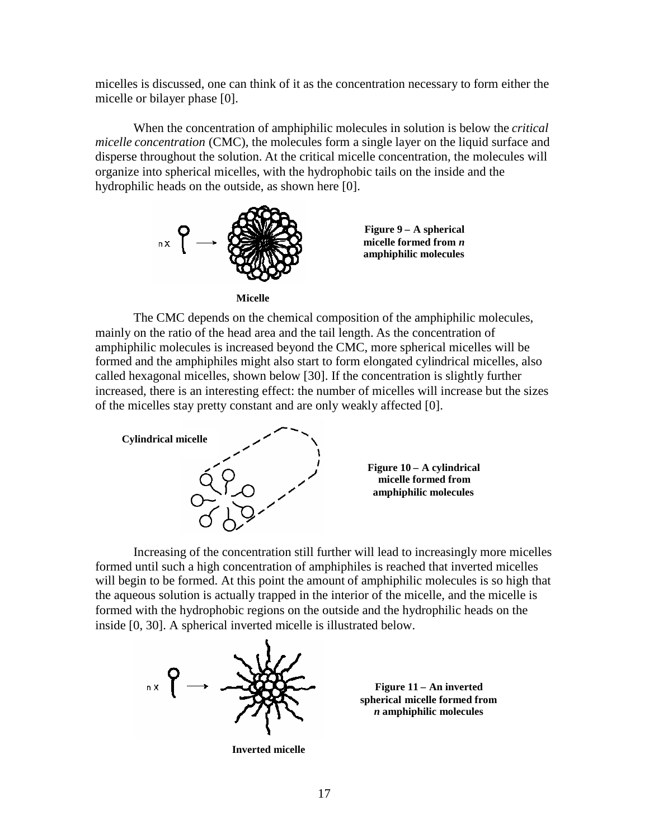micelles is discussed, one can think of it as the concentration necessary to form either the micelle or bilayer phase [0].

When the concentration of amphiphilic molecules in solution is below the *critical micelle concentration* (CMC), the molecules form a single layer on the liquid surface and disperse throughout the solution. At the critical micelle concentration, the molecules will organize into spherical micelles, with the hydrophobic tails on the inside and the hydrophilic heads on the outside, as shown here [0].



**Micelle**

The CMC depends on the chemical composition of the amphiphilic molecules, mainly on the ratio of the head area and the tail length. As the concentration of amphiphilic molecules is increased beyond the CMC, more spherical micelles will be formed and the amphiphiles might also start to form elongated cylindrical micelles, also called hexagonal micelles, shown below [30]. If the concentration is slightly further increased, there is an interesting effect: the number of micelles will increase but the sizes of the micelles stay pretty constant and are only weakly affected [0].



Increasing of the concentration still further will lead to increasingly more micelles formed until such a high concentration of amphiphiles is reached that inverted micelles will begin to be formed. At this point the amount of amphiphilic molecules is so high that the aqueous solution is actually trapped in the interior of the micelle, and the micelle is formed with the hydrophobic regions on the outside and the hydrophilic heads on the inside [0, 30]. A spherical inverted micelle is illustrated below.



**Figure 11 – An inverted spherical micelle formed from** *n* **amphiphilic molecules**

**Inverted micelle**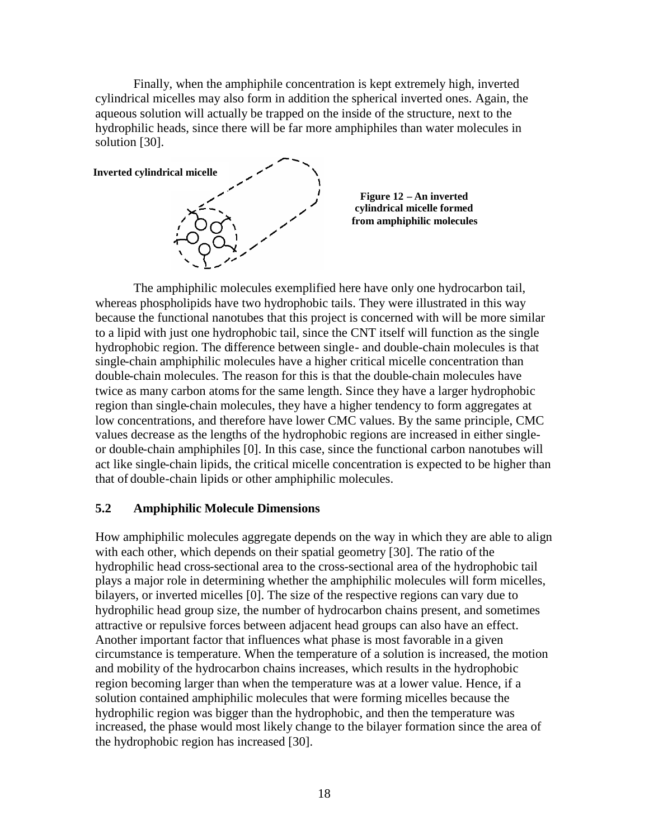Finally, when the amphiphile concentration is kept extremely high, inverted cylindrical micelles may also form in addition the spherical inverted ones. Again, the aqueous solution will actually be trapped on the inside of the structure, next to the hydrophilic heads, since there will be far more amphiphiles than water molecules in solution [30].



The amphiphilic molecules exemplified here have only one hydrocarbon tail, whereas phospholipids have two hydrophobic tails. They were illustrated in this way because the functional nanotubes that this project is concerned with will be more similar to a lipid with just one hydrophobic tail, since the CNT itself will function as the single hydrophobic region. The difference between single- and double-chain molecules is that single-chain amphiphilic molecules have a higher critical micelle concentration than double-chain molecules. The reason for this is that the double-chain molecules have twice as many carbon atoms for the same length. Since they have a larger hydrophobic region than single-chain molecules, they have a higher tendency to form aggregates at low concentrations, and therefore have lower CMC values. By the same principle, CMC values decrease as the lengths of the hydrophobic regions are increased in either singleor double-chain amphiphiles [0]. In this case, since the functional carbon nanotubes will act like single-chain lipids, the critical micelle concentration is expected to be higher than that of double-chain lipids or other amphiphilic molecules.

#### **5.2 Amphiphilic Molecule Dimensions**

How amphiphilic molecules aggregate depends on the way in which they are able to align with each other, which depends on their spatial geometry [30]. The ratio of the hydrophilic head cross-sectional area to the cross-sectional area of the hydrophobic tail plays a major role in determining whether the amphiphilic molecules will form micelles, bilayers, or inverted micelles [0]. The size of the respective regions can vary due to hydrophilic head group size, the number of hydrocarbon chains present, and sometimes attractive or repulsive forces between adjacent head groups can also have an effect. Another important factor that influences what phase is most favorable in a given circumstance is temperature. When the temperature of a solution is increased, the motion and mobility of the hydrocarbon chains increases, which results in the hydrophobic region becoming larger than when the temperature was at a lower value. Hence, if a solution contained amphiphilic molecules that were forming micelles because the hydrophilic region was bigger than the hydrophobic, and then the temperature was increased, the phase would most likely change to the bilayer formation since the area of the hydrophobic region has increased [30].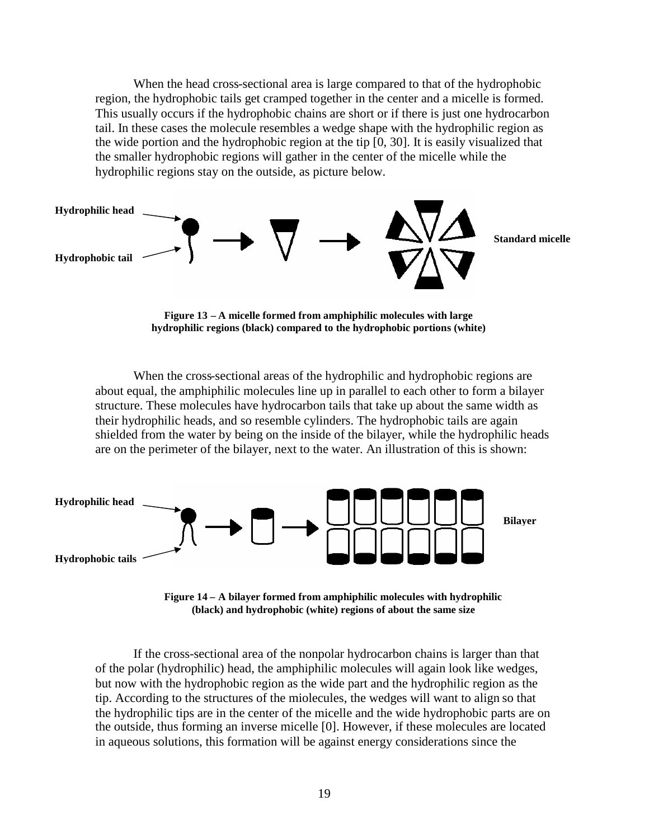When the head cross-sectional area is large compared to that of the hydrophobic region, the hydrophobic tails get cramped together in the center and a micelle is formed. This usually occurs if the hydrophobic chains are short or if there is just one hydrocarbon tail. In these cases the molecule resembles a wedge shape with the hydrophilic region as the wide portion and the hydrophobic region at the tip [0, 30]. It is easily visualized that the smaller hydrophobic regions will gather in the center of the micelle while the hydrophilic regions stay on the outside, as picture below.



**Figure 13 – A micelle formed from amphiphilic molecules with large hydrophilic regions (black) compared to the hydrophobic portions (white)**

When the cross-sectional areas of the hydrophilic and hydrophobic regions are about equal, the amphiphilic molecules line up in parallel to each other to form a bilayer structure. These molecules have hydrocarbon tails that take up about the same width as their hydrophilic heads, and so resemble cylinders. The hydrophobic tails are again shielded from the water by being on the inside of the bilayer, while the hydrophilic heads are on the perimeter of the bilayer, next to the water. An illustration of this is shown:



**Figure 14 – A bilayer formed from amphiphilic molecules with hydrophilic (black) and hydrophobic (white) regions of about the same size**

If the cross-sectional area of the nonpolar hydrocarbon chains is larger than that of the polar (hydrophilic) head, the amphiphilic molecules will again look like wedges, but now with the hydrophobic region as the wide part and the hydrophilic region as the tip. According to the structures of the miolecules, the wedges will want to align so that the hydrophilic tips are in the center of the micelle and the wide hydrophobic parts are on the outside, thus forming an inverse micelle [0]. However, if these molecules are located in aqueous solutions, this formation will be against energy considerations since the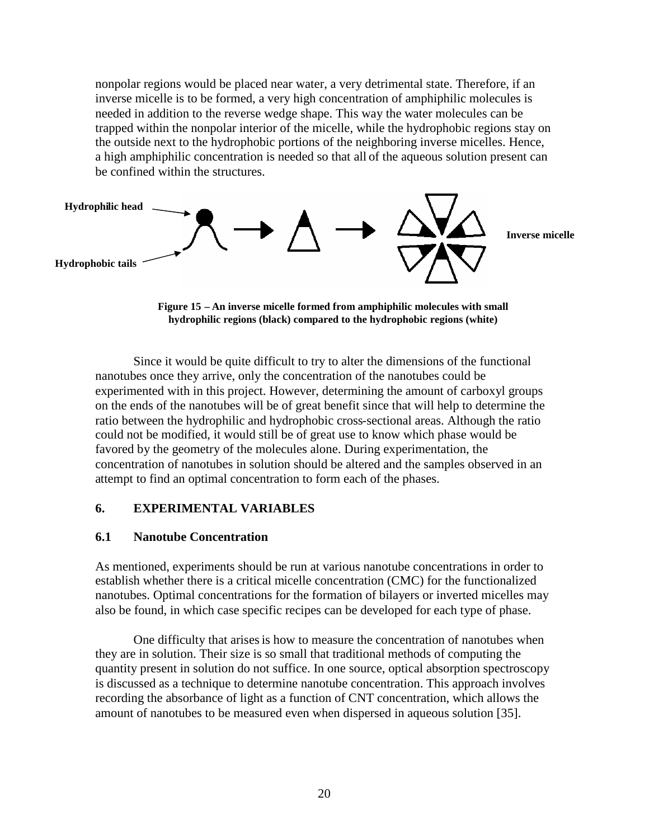nonpolar regions would be placed near water, a very detrimental state. Therefore, if an inverse micelle is to be formed, a very high concentration of amphiphilic molecules is needed in addition to the reverse wedge shape. This way the water molecules can be trapped within the nonpolar interior of the micelle, while the hydrophobic regions stay on the outside next to the hydrophobic portions of the neighboring inverse micelles. Hence, a high amphiphilic concentration is needed so that all of the aqueous solution present can be confined within the structures.



**Figure 15 – An inverse micelle formed from amphiphilic molecules with small hydrophilic regions (black) compared to the hydrophobic regions (white)**

Since it would be quite difficult to try to alter the dimensions of the functional nanotubes once they arrive, only the concentration of the nanotubes could be experimented with in this project. However, determining the amount of carboxyl groups on the ends of the nanotubes will be of great benefit since that will help to determine the ratio between the hydrophilic and hydrophobic cross-sectional areas. Although the ratio could not be modified, it would still be of great use to know which phase would be favored by the geometry of the molecules alone. During experimentation, the concentration of nanotubes in solution should be altered and the samples observed in an attempt to find an optimal concentration to form each of the phases.

#### **6. EXPERIMENTAL VARIABLES**

#### **6.1 Nanotube Concentration**

As mentioned, experiments should be run at various nanotube concentrations in order to establish whether there is a critical micelle concentration (CMC) for the functionalized nanotubes. Optimal concentrations for the formation of bilayers or inverted micelles may also be found, in which case specific recipes can be developed for each type of phase.

One difficulty that arisesis how to measure the concentration of nanotubes when they are in solution. Their size is so small that traditional methods of computing the quantity present in solution do not suffice. In one source, optical absorption spectroscopy is discussed as a technique to determine nanotube concentration. This approach involves recording the absorbance of light as a function of CNT concentration, which allows the amount of nanotubes to be measured even when dispersed in aqueous solution [35].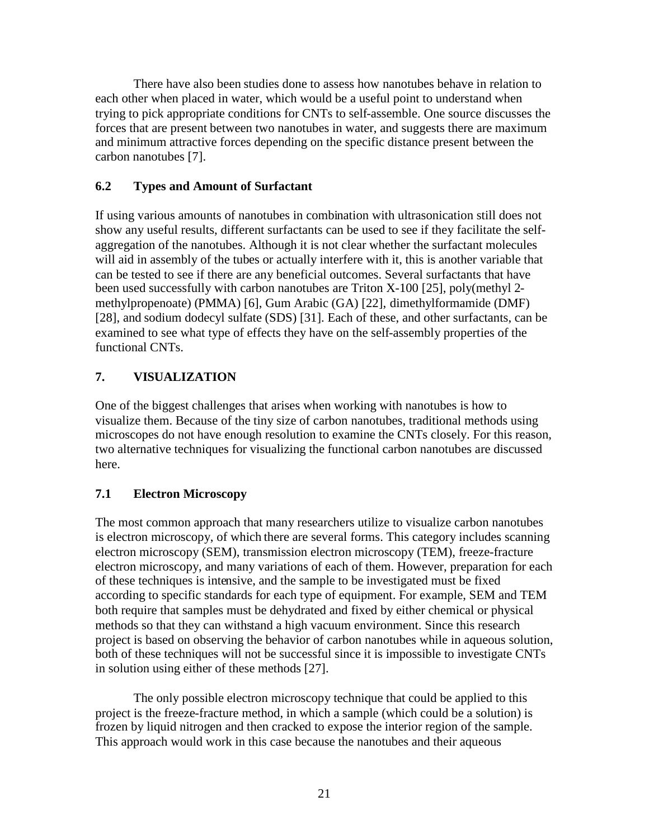There have also been studies done to assess how nanotubes behave in relation to each other when placed in water, which would be a useful point to understand when trying to pick appropriate conditions for CNTs to self-assemble. One source discusses the forces that are present between two nanotubes in water, and suggests there are maximum and minimum attractive forces depending on the specific distance present between the carbon nanotubes [7].

#### **6.2 Types and Amount of Surfactant**

If using various amounts of nanotubes in combination with ultrasonication still does not show any useful results, different surfactants can be used to see if they facilitate the selfaggregation of the nanotubes. Although it is not clear whether the surfactant molecules will aid in assembly of the tubes or actually interfere with it, this is another variable that can be tested to see if there are any beneficial outcomes. Several surfactants that have been used successfully with carbon nanotubes are Triton X-100 [25], poly(methyl 2 methylpropenoate) (PMMA) [6], Gum Arabic (GA) [22], dimethylformamide (DMF) [28], and sodium dodecyl sulfate (SDS) [31]. Each of these, and other surfactants, can be examined to see what type of effects they have on the self-assembly properties of the functional CNTs.

### **7. VISUALIZATION**

One of the biggest challenges that arises when working with nanotubes is how to visualize them. Because of the tiny size of carbon nanotubes, traditional methods using microscopes do not have enough resolution to examine the CNTs closely. For this reason, two alternative techniques for visualizing the functional carbon nanotubes are discussed here.

### **7.1 Electron Microscopy**

The most common approach that many researchers utilize to visualize carbon nanotubes is electron microscopy, of which there are several forms. This category includes scanning electron microscopy (SEM), transmission electron microscopy (TEM), freeze-fracture electron microscopy, and many variations of each of them. However, preparation for each of these techniques is intensive, and the sample to be investigated must be fixed according to specific standards for each type of equipment. For example, SEM and TEM both require that samples must be dehydrated and fixed by either chemical or physical methods so that they can withstand a high vacuum environment. Since this research project is based on observing the behavior of carbon nanotubes while in aqueous solution, both of these techniques will not be successful since it is impossible to investigate CNTs in solution using either of these methods [27].

The only possible electron microscopy technique that could be applied to this project is the freeze-fracture method, in which a sample (which could be a solution) is frozen by liquid nitrogen and then cracked to expose the interior region of the sample. This approach would work in this case because the nanotubes and their aqueous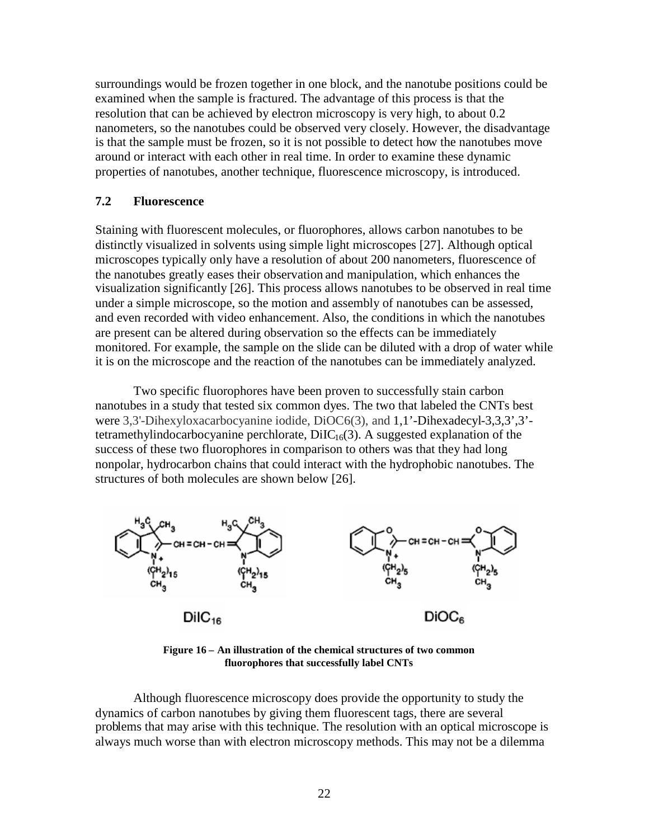surroundings would be frozen together in one block, and the nanotube positions could be examined when the sample is fractured. The advantage of this process is that the resolution that can be achieved by electron microscopy is very high, to about 0.2 nanometers, so the nanotubes could be observed very closely. However, the disadvantage is that the sample must be frozen, so it is not possible to detect how the nanotubes move around or interact with each other in real time. In order to examine these dynamic properties of nanotubes, another technique, fluorescence microscopy, is introduced.

#### **7.2 Fluorescence**

Staining with fluorescent molecules, or fluorophores, allows carbon nanotubes to be distinctly visualized in solvents using simple light microscopes [27]. Although optical microscopes typically only have a resolution of about 200 nanometers, fluorescence of the nanotubes greatly eases their observation and manipulation, which enhances the visualization significantly [26]. This process allows nanotubes to be observed in real time under a simple microscope, so the motion and assembly of nanotubes can be assessed, and even recorded with video enhancement. Also, the conditions in which the nanotubes are present can be altered during observation so the effects can be immediately monitored. For example, the sample on the slide can be diluted with a drop of water while it is on the microscope and the reaction of the nanotubes can be immediately analyzed.

Two specific fluorophores have been proven to successfully stain carbon nanotubes in a study that tested six common dyes. The two that labeled the CNTs best were 3,3'-Dihexyloxacarbocyanine iodide, DiOC6(3), and 1,1'-Dihexadecyl-3,3,3',3' tetramethylindocarbocyanine perchlorate,  $DiIC<sub>16</sub>(3)$ . A suggested explanation of the success of these two fluorophores in comparison to others was that they had long nonpolar, hydrocarbon chains that could interact with the hydrophobic nanotubes. The structures of both molecules are shown below [26].



**Figure 16 – An illustration of the chemical structures of two common fluorophores that successfully label CNTs**

Although fluorescence microscopy does provide the opportunity to study the dynamics of carbon nanotubes by giving them fluorescent tags, there are several problems that may arise with this technique. The resolution with an optical microscope is always much worse than with electron microscopy methods. This may not be a dilemma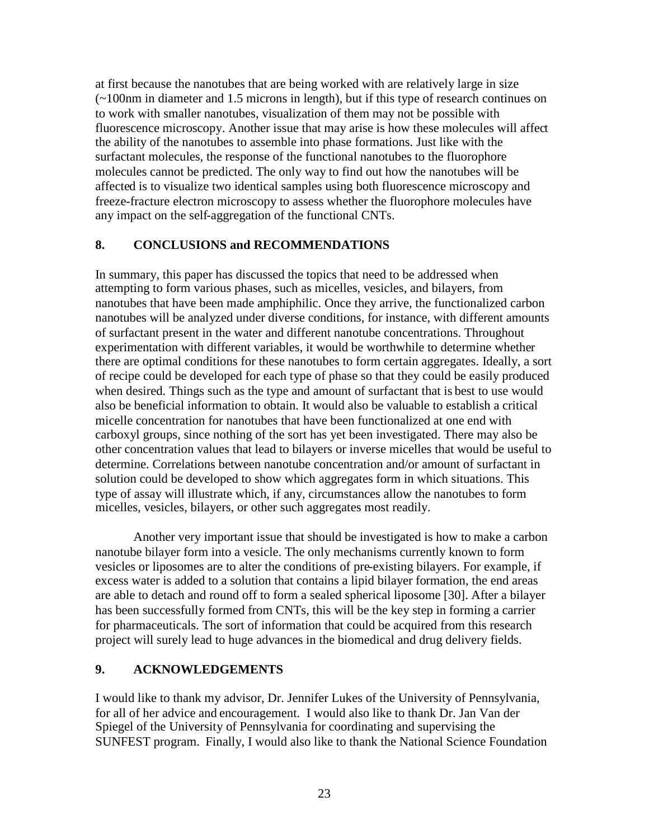at first because the nanotubes that are being worked with are relatively large in size (~100nm in diameter and 1.5 microns in length), but if this type of research continues on to work with smaller nanotubes, visualization of them may not be possible with fluorescence microscopy. Another issue that may arise is how these molecules will affect the ability of the nanotubes to assemble into phase formations. Just like with the surfactant molecules, the response of the functional nanotubes to the fluorophore molecules cannot be predicted. The only way to find out how the nanotubes will be affected is to visualize two identical samples using both fluorescence microscopy and freeze-fracture electron microscopy to assess whether the fluorophore molecules have any impact on the self-aggregation of the functional CNTs.

#### **8. CONCLUSIONS and RECOMMENDATIONS**

In summary, this paper has discussed the topics that need to be addressed when attempting to form various phases, such as micelles, vesicles, and bilayers, from nanotubes that have been made amphiphilic. Once they arrive, the functionalized carbon nanotubes will be analyzed under diverse conditions, for instance, with different amounts of surfactant present in the water and different nanotube concentrations. Throughout experimentation with different variables, it would be worthwhile to determine whether there are optimal conditions for these nanotubes to form certain aggregates. Ideally, a sort of recipe could be developed for each type of phase so that they could be easily produced when desired. Things such as the type and amount of surfactant that is best to use would also be beneficial information to obtain. It would also be valuable to establish a critical micelle concentration for nanotubes that have been functionalized at one end with carboxyl groups, since nothing of the sort has yet been investigated. There may also be other concentration values that lead to bilayers or inverse micelles that would be useful to determine. Correlations between nanotube concentration and/or amount of surfactant in solution could be developed to show which aggregates form in which situations. This type of assay will illustrate which, if any, circumstances allow the nanotubes to form micelles, vesicles, bilayers, or other such aggregates most readily.

Another very important issue that should be investigated is how to make a carbon nanotube bilayer form into a vesicle. The only mechanisms currently known to form vesicles or liposomes are to alter the conditions of pre-existing bilayers. For example, if excess water is added to a solution that contains a lipid bilayer formation, the end areas are able to detach and round off to form a sealed spherical liposome [30]. After a bilayer has been successfully formed from CNTs, this will be the key step in forming a carrier for pharmaceuticals. The sort of information that could be acquired from this research project will surely lead to huge advances in the biomedical and drug delivery fields.

#### **9. ACKNOWLEDGEMENTS**

I would like to thank my advisor, Dr. Jennifer Lukes of the University of Pennsylvania, for all of her advice and encouragement. I would also like to thank Dr. Jan Van der Spiegel of the University of Pennsylvania for coordinating and supervising the SUNFEST program. Finally, I would also like to thank the National Science Foundation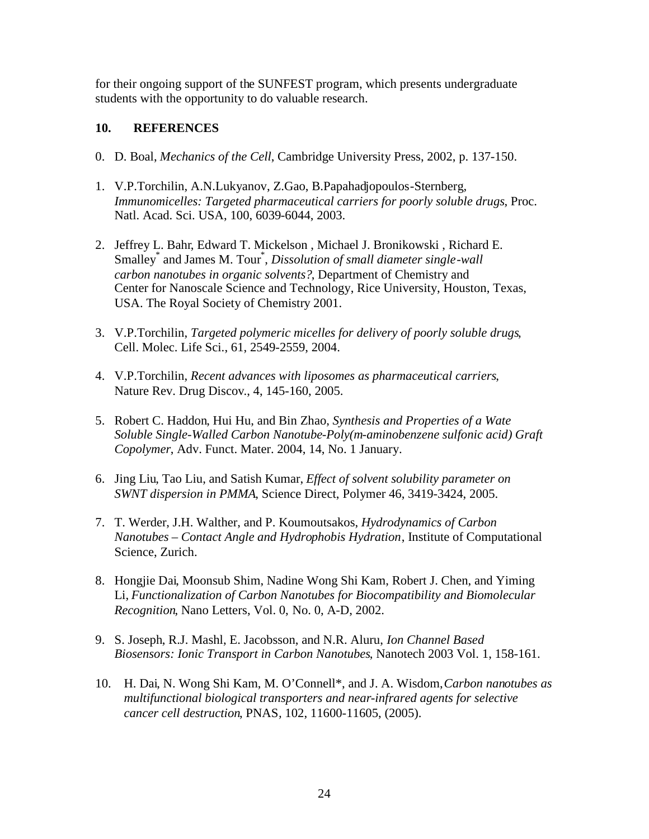for their ongoing support of the SUNFEST program, which presents undergraduate students with the opportunity to do valuable research.

#### **10. REFERENCES**

- 0. D. Boal, *Mechanics of the Cell*, Cambridge University Press, 2002, p. 137-150.
- 1. V.P.Torchilin, A.N.Lukyanov, Z.Gao, B.Papahadjopoulos-Sternberg, *Immunomicelles: Targeted pharmaceutical carriers for poorly soluble drugs*, Proc. Natl. Acad. Sci. USA, 100, 6039-6044, 2003.
- 2. Jeffrey L. Bahr, Edward T. Mickelson , Michael J. Bronikowski , Richard E. Smalley<sup>\*</sup> and James M. Tour<sup>\*</sup>, *Dissolution of small diameter single-wall carbon nanotubes in organic solvents?*, Department of Chemistry and Center for Nanoscale Science and Technology, Rice University, Houston, Texas, USA. The Royal Society of Chemistry 2001.
- 3. V.P.Torchilin, *Targeted polymeric micelles for delivery of poorly soluble drugs*, Cell. Molec. Life Sci., 61, 2549-2559, 2004.
- 4. V.P.Torchilin, *Recent advances with liposomes as pharmaceutical carriers*, Nature Rev. Drug Discov., 4, 145-160, 2005.
- 5. Robert C. Haddon, Hui Hu, and Bin Zhao, *Synthesis and Properties of a Wate Soluble Single-Walled Carbon Nanotube-Poly(m-aminobenzene sulfonic acid) Graft Copolymer*, Adv. Funct. Mater. 2004, 14, No. 1 January.
- 6. Jing Liu, Tao Liu, and Satish Kumar, *Effect of solvent solubility parameter on SWNT dispersion in PMMA*, Science Direct, Polymer 46, 3419-3424, 2005.
- 7. T. Werder, J.H. Walther, and P. Koumoutsakos, *Hydrodynamics of Carbon Nanotubes – Contact Angle and Hydrophobis Hydration*, Institute of Computational Science, Zurich.
- 8. Hongjie Dai, Moonsub Shim, Nadine Wong Shi Kam, Robert J. Chen, and Yiming Li, *Functionalization of Carbon Nanotubes for Biocompatibility and Biomolecular Recognition*, Nano Letters, Vol. 0, No. 0, A-D, 2002.
- 9. S. Joseph, R.J. Mashl, E. Jacobsson, and N.R. Aluru, *Ion Channel Based Biosensors: Ionic Transport in Carbon Nanotubes*, Nanotech 2003 Vol. 1, 158-161.
- 10. H. Dai, N. Wong Shi Kam, M. O'Connell\*, and J. A. Wisdom,*Carbon nanotubes as multifunctional biological transporters and near-infrared agents for selective cancer cell destruction*, PNAS*,* 102, 11600-11605, (2005).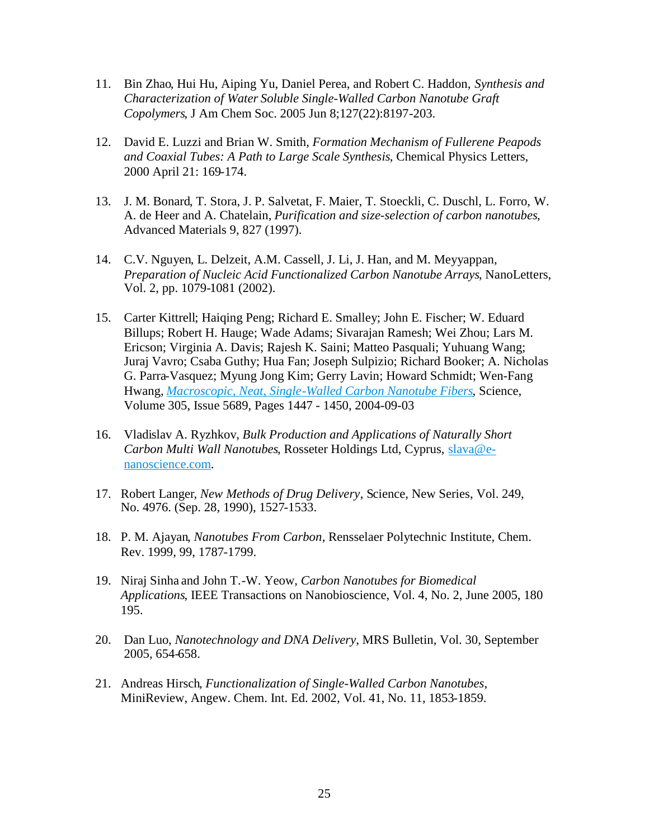- 11. Bin Zhao, Hui Hu, Aiping Yu, Daniel Perea, and Robert C. Haddon, *Synthesis and Characterization of Water Soluble Single-Walled Carbon Nanotube Graft Copolymers*, J Am Chem Soc. 2005 Jun 8;127(22):8197-203.
- 12. David E. Luzzi and Brian W. Smith, *Formation Mechanism of Fullerene Peapods and Coaxial Tubes: A Path to Large Scale Synthesis*, Chemical Physics Letters, 2000 April 21: 169-174.
- 13. J. M. Bonard, T. Stora, J. P. Salvetat, F. Maier, T. Stoeckli, C. Duschl, L. Forro, W. A. de Heer and A. Chatelain, *Purification and size-selection of carbon nanotubes*, Advanced Materials 9, 827 (1997).
- 14. C.V. Nguyen, L. Delzeit, A.M. Cassell, J. Li, J. Han, and M. Meyyappan, *Preparation of Nucleic Acid Functionalized Carbon Nanotube Arrays*, NanoLetters, Vol. 2, pp. 1079-1081 (2002).
- 15. Carter Kittrell; Haiqing Peng; Richard E. Smalley; John E. Fischer; W. Eduard Billups; Robert H. Hauge; Wade Adams; Sivarajan Ramesh; Wei Zhou; Lars M. Ericson; Virginia A. Davis; Rajesh K. Saini; Matteo Pasquali; Yuhuang Wang; Juraj Vavro; Csaba Guthy; Hua Fan; Joseph Sulpizio; Richard Booker; A. Nicholas G. Parra-Vasquez; Myung Jong Kim; Gerry Lavin; Howard Schmidt; Wen-Fang Hwang, *Macroscopic, Neat, Single-Walled Carbon Nanotube Fibers*, Science, Volume 305, Issue 5689, Pages 1447 - 1450, 2004-09-03
- 16. Vladislav A. Ryzhkov, *Bulk Production and Applications of Naturally Short Carbon Multi Wall Nanotubes*, Rosseter Holdings Ltd, Cyprus, slava@enanoscience.com.
- 17. Robert Langer, *New Methods of Drug Delivery*, Science, New Series, Vol. 249, No. 4976. (Sep. 28, 1990), 1527-1533.
- 18. P. M. Ajayan, *Nanotubes From Carbon*, Rensselaer Polytechnic Institute, Chem. Rev. 1999, 99, 1787-1799.
- 19. Niraj Sinha and John T.-W. Yeow, *Carbon Nanotubes for Biomedical Applications*, IEEE Transactions on Nanobioscience, Vol. 4, No. 2, June 2005, 180 195.
- 20. Dan Luo, *Nanotechnology and DNA Delivery*, MRS Bulletin, Vol. 30, September 2005, 654-658.
- 21. Andreas Hirsch, *Functionalization of Single-Walled Carbon Nanotubes*, MiniReview, Angew. Chem. Int. Ed. 2002, Vol. 41, No. 11, 1853-1859.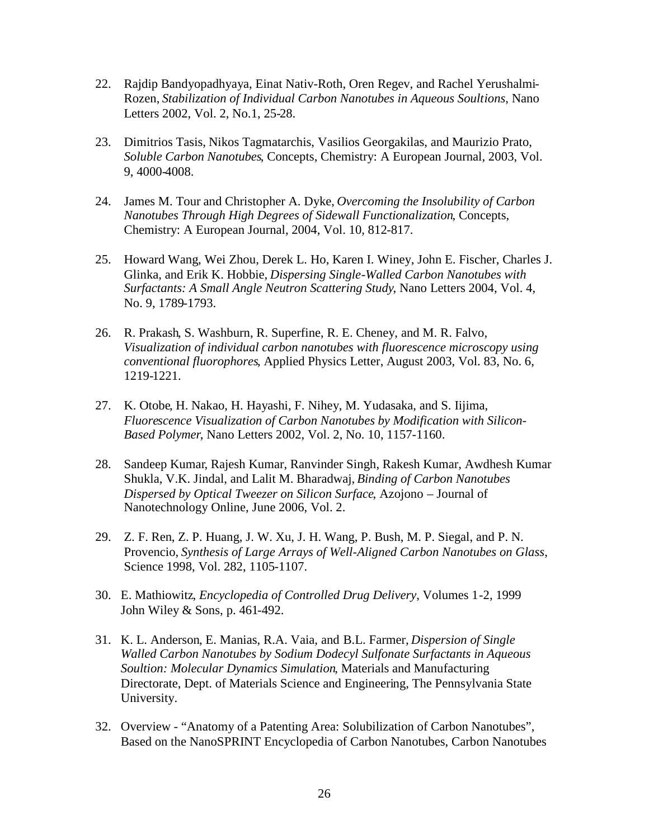- 22. Rajdip Bandyopadhyaya, Einat Nativ-Roth, Oren Regev, and Rachel Yerushalmi-Rozen, *Stabilization of Individual Carbon Nanotubes in Aqueous Soultions*, Nano Letters 2002, Vol. 2, No.1, 25-28.
- 23. Dimitrios Tasis, Nikos Tagmatarchis, Vasilios Georgakilas, and Maurizio Prato, *Soluble Carbon Nanotubes*, Concepts, Chemistry: A European Journal, 2003, Vol. 9, 4000-4008.
- 24. James M. Tour and Christopher A. Dyke, *Overcoming the Insolubility of Carbon Nanotubes Through High Degrees of Sidewall Functionalization*, Concepts, Chemistry: A European Journal, 2004, Vol. 10, 812-817.
- 25. Howard Wang, Wei Zhou, Derek L. Ho, Karen I. Winey, John E. Fischer, Charles J. Glinka, and Erik K. Hobbie, *Dispersing Single-Walled Carbon Nanotubes with Surfactants: A Small Angle Neutron Scattering Study*, Nano Letters 2004, Vol. 4, No. 9, 1789-1793.
- 26. R. Prakash, S. Washburn, R. Superfine, R. E. Cheney, and M. R. Falvo, *Visualization of individual carbon nanotubes with fluorescence microscopy using conventional fluorophores*, Applied Physics Letter, August 2003, Vol. 83, No. 6, 1219-1221.
- 27. K. Otobe, H. Nakao, H. Hayashi, F. Nihey, M. Yudasaka, and S. Iijima, *Fluorescence Visualization of Carbon Nanotubes by Modification with Silicon-Based Polymer*, Nano Letters 2002, Vol. 2, No. 10, 1157-1160.
- 28. Sandeep Kumar, Rajesh Kumar, Ranvinder Singh, Rakesh Kumar, Awdhesh Kumar Shukla, V.K. Jindal, and Lalit M. Bharadwaj, *Binding of Carbon Nanotubes Dispersed by Optical Tweezer on Silicon Surface*, Azojono – Journal of Nanotechnology Online, June 2006, Vol. 2.
- 29. Z. F. Ren, Z. P. Huang, J. W. Xu, J. H. Wang, P. Bush, M. P. Siegal, and P. N. Provencio, *Synthesis of Large Arrays of Well-Aligned Carbon Nanotubes on Glass*, Science 1998, Vol. 282, 1105-1107.
- 30. E. Mathiowitz, *Encyclopedia of Controlled Drug Delivery*, Volumes 1-2, 1999 John Wiley & Sons, p. 461-492.
- 31. K. L. Anderson, E. Manias, R.A. Vaia, and B.L. Farmer, *Dispersion of Single Walled Carbon Nanotubes by Sodium Dodecyl Sulfonate Surfactants in Aqueous Soultion: Molecular Dynamics Simulation*, Materials and Manufacturing Directorate, Dept. of Materials Science and Engineering, The Pennsylvania State University.
- 32. Overview "Anatomy of a Patenting Area: Solubilization of Carbon Nanotubes", Based on the NanoSPRINT Encyclopedia of Carbon Nanotubes, Carbon Nanotubes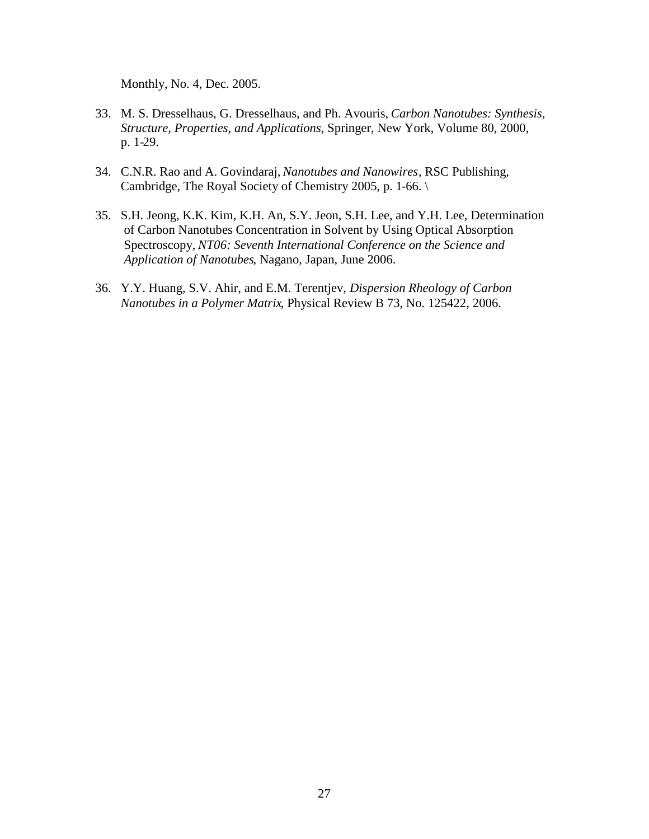Monthly, No. 4, Dec. 2005.

- 33. M. S. Dresselhaus, G. Dresselhaus, and Ph. Avouris, *Carbon Nanotubes: Synthesis, Structure, Properties, and Applications*, Springer, New York, Volume 80, 2000, p. 1-29.
- 34. C.N.R. Rao and A. Govindaraj, *Nanotubes and Nanowires*, RSC Publishing, Cambridge, The Royal Society of Chemistry 2005, p. 1-66. \
- 35. S.H. Jeong, K.K. Kim, K.H. An, S.Y. Jeon, S.H. Lee, and Y.H. Lee, Determination of Carbon Nanotubes Concentration in Solvent by Using Optical Absorption Spectroscopy, *NT06: Seventh International Conference on the Science and Application of Nanotubes*, Nagano, Japan, June 2006.
- 36. Y.Y. Huang, S.V. Ahir, and E.M. Terentjev, *Dispersion Rheology of Carbon Nanotubes in a Polymer Matrix*, Physical Review B 73, No. 125422, 2006.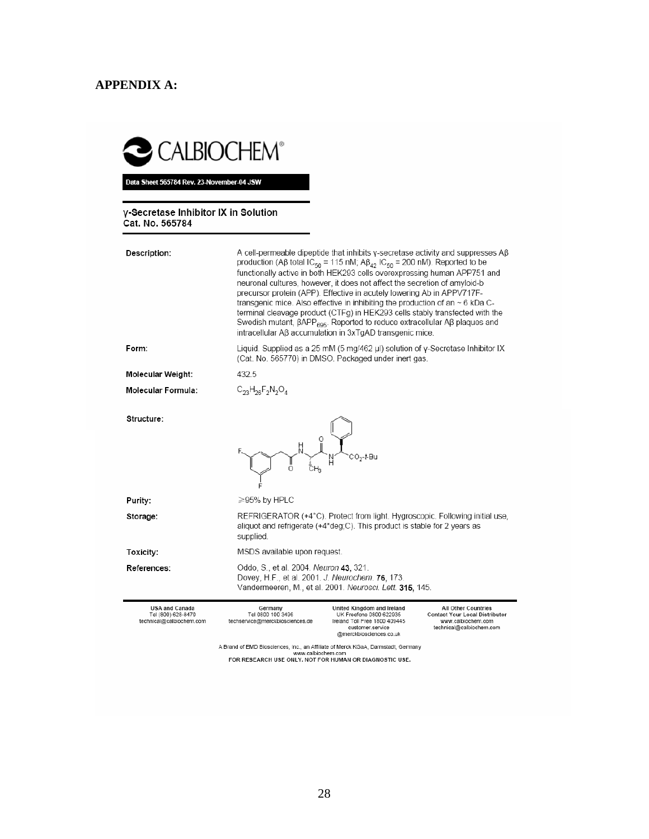## **APPENDIX A:**

# CALBIOCHEM®

Data Sheet 565784 Rev. 23-November-04 JSW

#### y-Secretase Inhibitor IX in Solution Cat. No. 565784

| Description:                                                            | A cell-permeable dipeptide that inhibits y-secretase activity and suppresses $AB$<br>production (Aβ total IC <sub>50</sub> = 115 nM; Aβ <sub>42</sub> IC <sub>50</sub> = 200 nM). Reported to be<br>functionally active in both HEK293 cells overexpressing human APP751 and<br>neuronal cultures, however, it does not affect the secretion of amyloid-b<br>precursor protein (APP). Effective in acutely lowering Ab in APPV717F-<br>transgenic mice. Also effective in inhibiting the production of an $\sim$ 6 kDa C-<br>terminal cleavage product (CTFg) in HEK293 cells stably transfected with the<br>Swedish mutant, $\beta$ APP <sub>695</sub> . Reported to reduce extracellular A $\beta$ plaques and<br>intracellular Aβ accumulation in 3xTqAD transgenic mice. |  |  |  |
|-------------------------------------------------------------------------|------------------------------------------------------------------------------------------------------------------------------------------------------------------------------------------------------------------------------------------------------------------------------------------------------------------------------------------------------------------------------------------------------------------------------------------------------------------------------------------------------------------------------------------------------------------------------------------------------------------------------------------------------------------------------------------------------------------------------------------------------------------------------|--|--|--|
| Form:                                                                   | Liquid. Supplied as a 25 mM (5 mg/462 μl) solution of y-Secretase Inhibitor IX<br>(Cat. No. 565770) in DMSO. Packaged under inert gas.                                                                                                                                                                                                                                                                                                                                                                                                                                                                                                                                                                                                                                       |  |  |  |
| Molecular Weight:                                                       | 432.5                                                                                                                                                                                                                                                                                                                                                                                                                                                                                                                                                                                                                                                                                                                                                                        |  |  |  |
| Molecular Formula:                                                      | $C_{23}H_{26}F_2N_2O_4$                                                                                                                                                                                                                                                                                                                                                                                                                                                                                                                                                                                                                                                                                                                                                      |  |  |  |
|                                                                         |                                                                                                                                                                                                                                                                                                                                                                                                                                                                                                                                                                                                                                                                                                                                                                              |  |  |  |
| Structure:                                                              | CO <sub>2</sub> -t-Bu<br>Ö                                                                                                                                                                                                                                                                                                                                                                                                                                                                                                                                                                                                                                                                                                                                                   |  |  |  |
| Purity:                                                                 | $\geq$ 95% by HPLC                                                                                                                                                                                                                                                                                                                                                                                                                                                                                                                                                                                                                                                                                                                                                           |  |  |  |
| Storage:                                                                | REFRIGERATOR (+4°C). Protect from light. Hygroscopic. Following initial use.<br>aliquot and refrigerate (+4*deg;C). This product is stable for 2 years as<br>supplied.                                                                                                                                                                                                                                                                                                                                                                                                                                                                                                                                                                                                       |  |  |  |
| Toxicity:                                                               | MSDS available upon request.                                                                                                                                                                                                                                                                                                                                                                                                                                                                                                                                                                                                                                                                                                                                                 |  |  |  |
| <b>References:</b>                                                      | Oddo, S., et al. 2004. Neuron 43, 321.<br>Dovey, H.F., et al. 2001. J. Neurochem. 76, 173.<br>Vandermeeren, M., et al. 2001. Neurosci. Lett. 315, 145.                                                                                                                                                                                                                                                                                                                                                                                                                                                                                                                                                                                                                       |  |  |  |
| <b>USA and Canada</b><br>Tel (800) 628-8470<br>technical@calbiochem.com | Germany<br>United Kingdom and Ireland<br>All Other Countries<br>Tel 0800 100 3496<br>UK Freefone 0800 622935<br><b>Contact Your Local Distributor</b><br>techservice@merckbiosciences.de<br>Ireland Toll Free 1800 409445<br>www.calbiochem.com<br>customer.service<br>technical@calbiochem.com<br>@merckbiosciences.co.uk                                                                                                                                                                                                                                                                                                                                                                                                                                                   |  |  |  |
|                                                                         | A Brand of EMD Biosciences, Inc., an Affiliate of Merck KGaA, Darmstadt, Germany<br>www.calbiochem.com                                                                                                                                                                                                                                                                                                                                                                                                                                                                                                                                                                                                                                                                       |  |  |  |

www.calbiochem.com<br>FOR RESEARCH USE ONLY. NOT FOR HUMAN OR DIAGNOSTIC USE.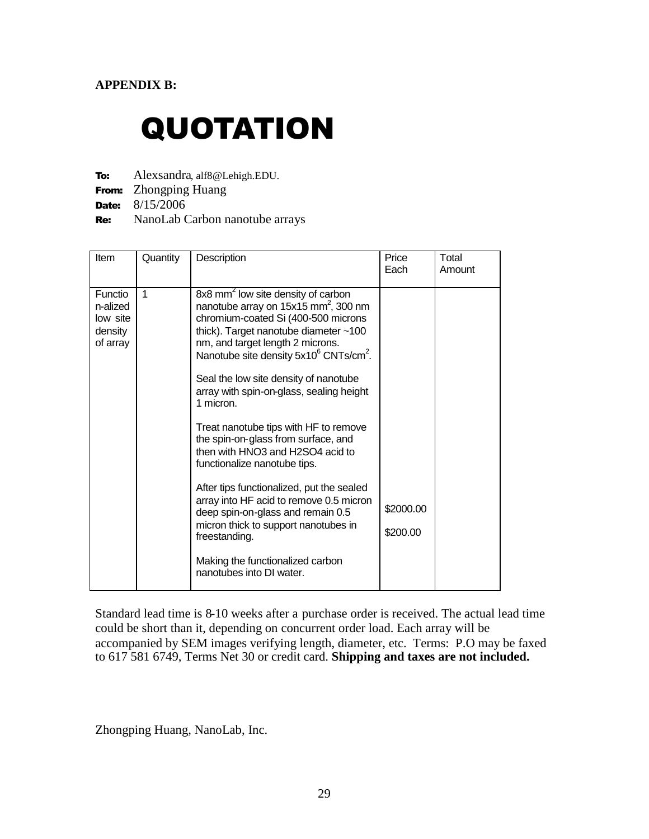#### **APPENDIX B:**

# QUOTATION

To: Alexsandra, alf8@Lehigh.EDU.

From: Zhongping Huang

Date: 8/15/2006

Re: NanoLab Carbon nanotube arrays

| Item                                                   | Quantity | Description                                                                                                                                                                                                                                                                                                                                                                                                                                                                                                                                                                                                                                                                                                                                                                                            | Price<br>Each         | Total<br>Amount |
|--------------------------------------------------------|----------|--------------------------------------------------------------------------------------------------------------------------------------------------------------------------------------------------------------------------------------------------------------------------------------------------------------------------------------------------------------------------------------------------------------------------------------------------------------------------------------------------------------------------------------------------------------------------------------------------------------------------------------------------------------------------------------------------------------------------------------------------------------------------------------------------------|-----------------------|-----------------|
| Functio<br>n-alized<br>low site<br>density<br>of array | 1        | 8x8 mm <sup>2</sup> low site density of carbon<br>nanotube array on $15x15$ mm <sup>2</sup> , 300 nm<br>chromium-coated Si (400-500 microns<br>thick). Target nanotube diameter ~100<br>nm, and target length 2 microns.<br>Nanotube site density 5x10 <sup>6</sup> CNTs/cm <sup>2</sup> .<br>Seal the low site density of nanotube<br>array with spin-on-glass, sealing height<br>1 micron.<br>Treat nanotube tips with HF to remove<br>the spin-on-glass from surface, and<br>then with HNO3 and H2SO4 acid to<br>functionalize nanotube tips.<br>After tips functionalized, put the sealed<br>array into HF acid to remove 0.5 micron<br>deep spin-on-glass and remain 0.5<br>micron thick to support nanotubes in<br>freestanding.<br>Making the functionalized carbon<br>nanotubes into DI water. | \$2000.00<br>\$200.00 |                 |

Standard lead time is 8-10 weeks after a purchase order is received. The actual lead time could be short than it, depending on concurrent order load. Each array will be accompanied by SEM images verifying length, diameter, etc. Terms: P.O may be faxed to 617 581 6749, Terms Net 30 or credit card. **Shipping and taxes are not included.**

Zhongping Huang, NanoLab, Inc.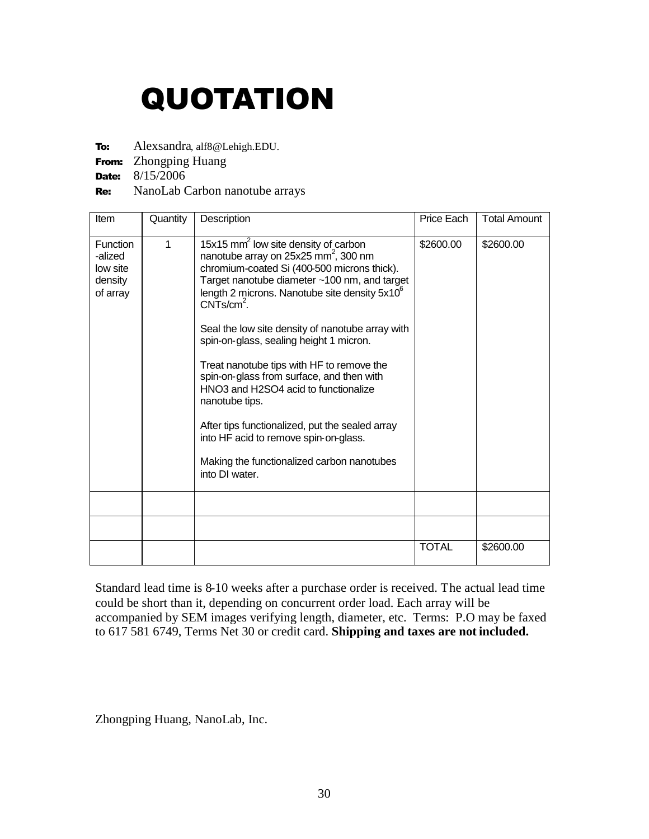# QUOTATION

To: Alexsandra, alf8@Lehigh.EDU.

From: Zhongping Huang

**Date:** 8/15/2006

#### Re: NanoLab Carbon nanotube arrays

| Item                                                          | Quantity | Description                                                                                                                                                                                                                                                                                                                                                                                                                                                                                                                                                                                                                                                                                     | Price Each   | <b>Total Amount</b> |
|---------------------------------------------------------------|----------|-------------------------------------------------------------------------------------------------------------------------------------------------------------------------------------------------------------------------------------------------------------------------------------------------------------------------------------------------------------------------------------------------------------------------------------------------------------------------------------------------------------------------------------------------------------------------------------------------------------------------------------------------------------------------------------------------|--------------|---------------------|
| <b>Function</b><br>-alized<br>low site<br>density<br>of array | 1        | 15x15 mm <sup>2</sup> low site density of carbon<br>nanotube array on 25x25 mm <sup>2</sup> , 300 nm<br>chromium-coated Si (400-500 microns thick).<br>Target nanotube diameter ~100 nm, and target<br>length 2 microns. Nanotube site density 5x10 <sup>6</sup><br>$CNTS/cm2$ .<br>Seal the low site density of nanotube array with<br>spin-on-glass, sealing height 1 micron.<br>Treat nanotube tips with HF to remove the<br>spin-on-glass from surface, and then with<br>HNO3 and H2SO4 acid to functionalize<br>nanotube tips.<br>After tips functionalized, put the sealed array<br>into HF acid to remove spin-on-glass.<br>Making the functionalized carbon nanotubes<br>into DI water. | \$2600.00    | \$2600.00           |
|                                                               |          |                                                                                                                                                                                                                                                                                                                                                                                                                                                                                                                                                                                                                                                                                                 |              |                     |
|                                                               |          |                                                                                                                                                                                                                                                                                                                                                                                                                                                                                                                                                                                                                                                                                                 |              |                     |
|                                                               |          |                                                                                                                                                                                                                                                                                                                                                                                                                                                                                                                                                                                                                                                                                                 | <b>TOTAL</b> | \$2600.00           |

Standard lead time is 8-10 weeks after a purchase order is received. The actual lead time could be short than it, depending on concurrent order load. Each array will be accompanied by SEM images verifying length, diameter, etc. Terms: P.O may be faxed to 617 581 6749, Terms Net 30 or credit card. **Shipping and taxes are not included.**

Zhongping Huang, NanoLab, Inc.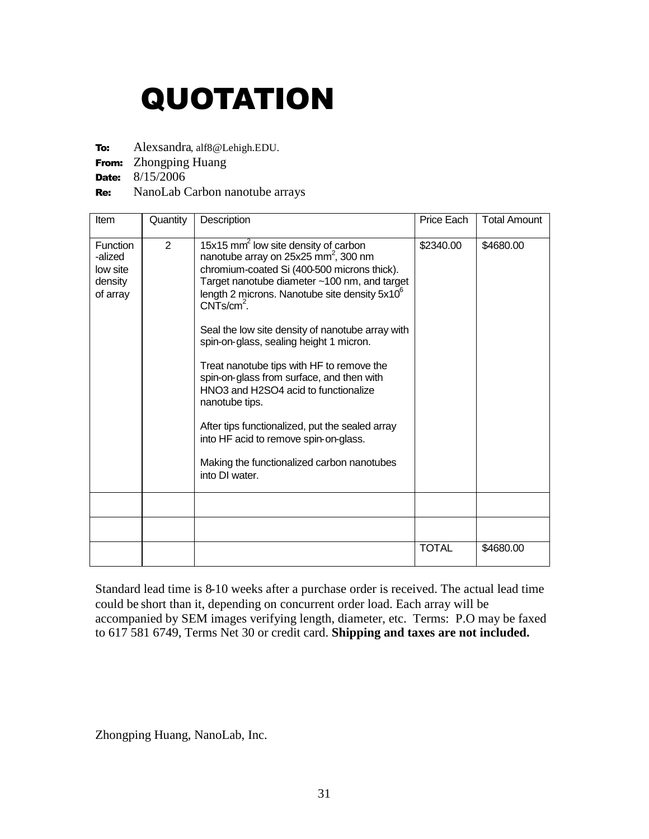# QUOTATION

To: Alexsandra, alf8@Lehigh.EDU.

From: Zhongping Huang

**Date:** 8/15/2006

#### Re: NanoLab Carbon nanotube arrays

| Item                                                          | Quantity | Description                                                                                                                                                                                                                                                                                                                                                                                                                                                                                                                                                                                                                                                                                     | Price Each   | <b>Total Amount</b> |
|---------------------------------------------------------------|----------|-------------------------------------------------------------------------------------------------------------------------------------------------------------------------------------------------------------------------------------------------------------------------------------------------------------------------------------------------------------------------------------------------------------------------------------------------------------------------------------------------------------------------------------------------------------------------------------------------------------------------------------------------------------------------------------------------|--------------|---------------------|
| <b>Function</b><br>-alized<br>low site<br>density<br>of array | 2        | 15x15 mm <sup>2</sup> low site density of carbon<br>nanotube array on 25x25 mm <sup>2</sup> , 300 nm<br>chromium-coated Si (400-500 microns thick).<br>Target nanotube diameter ~100 nm, and target<br>length 2 microns. Nanotube site density 5x10 <sup>6</sup><br>$CNTS/cm2$ .<br>Seal the low site density of nanotube array with<br>spin-on-glass, sealing height 1 micron.<br>Treat nanotube tips with HF to remove the<br>spin-on-glass from surface, and then with<br>HNO3 and H2SO4 acid to functionalize<br>nanotube tips.<br>After tips functionalized, put the sealed array<br>into HF acid to remove spin-on-glass.<br>Making the functionalized carbon nanotubes<br>into DI water. | \$2340.00    | \$4680.00           |
|                                                               |          |                                                                                                                                                                                                                                                                                                                                                                                                                                                                                                                                                                                                                                                                                                 |              |                     |
|                                                               |          |                                                                                                                                                                                                                                                                                                                                                                                                                                                                                                                                                                                                                                                                                                 |              |                     |
|                                                               |          |                                                                                                                                                                                                                                                                                                                                                                                                                                                                                                                                                                                                                                                                                                 | <b>TOTAL</b> | \$4680.00           |

Standard lead time is 8-10 weeks after a purchase order is received. The actual lead time could be short than it, depending on concurrent order load. Each array will be accompanied by SEM images verifying length, diameter, etc. Terms: P.O may be faxed to 617 581 6749, Terms Net 30 or credit card. **Shipping and taxes are not included.**

Zhongping Huang, NanoLab, Inc.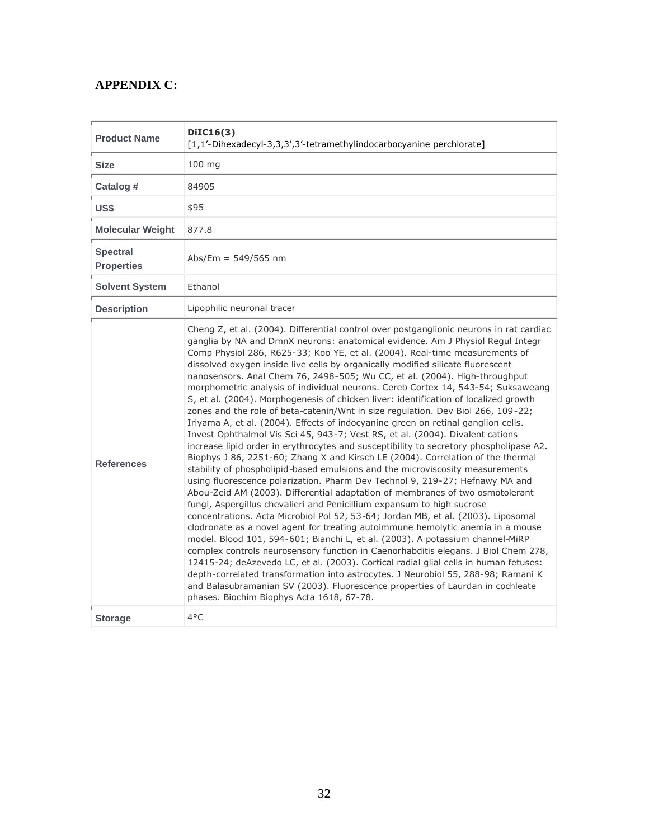## **APPENDIX C:**

| <b>Product Name</b>                  | DiIC16(3)<br>[1,1'-Dihexadecyl-3,3,3',3'-tetramethylindocarbocyanine perchlorate]                                                                                                                                                                                                                                                                                                                                                                                                                                                                                                                                                                                                                                                                                                                                                                                                                                                                                                                                                                                                                                                                                                                                                                                                                                                                                                                                                                                                                                                                                                                                                                                                                                                                                                                                                                                                                                                                                                                                                   |  |  |
|--------------------------------------|-------------------------------------------------------------------------------------------------------------------------------------------------------------------------------------------------------------------------------------------------------------------------------------------------------------------------------------------------------------------------------------------------------------------------------------------------------------------------------------------------------------------------------------------------------------------------------------------------------------------------------------------------------------------------------------------------------------------------------------------------------------------------------------------------------------------------------------------------------------------------------------------------------------------------------------------------------------------------------------------------------------------------------------------------------------------------------------------------------------------------------------------------------------------------------------------------------------------------------------------------------------------------------------------------------------------------------------------------------------------------------------------------------------------------------------------------------------------------------------------------------------------------------------------------------------------------------------------------------------------------------------------------------------------------------------------------------------------------------------------------------------------------------------------------------------------------------------------------------------------------------------------------------------------------------------------------------------------------------------------------------------------------------------|--|--|
| <b>Size</b>                          | 100 mg                                                                                                                                                                                                                                                                                                                                                                                                                                                                                                                                                                                                                                                                                                                                                                                                                                                                                                                                                                                                                                                                                                                                                                                                                                                                                                                                                                                                                                                                                                                                                                                                                                                                                                                                                                                                                                                                                                                                                                                                                              |  |  |
| Catalog #                            | 84905                                                                                                                                                                                                                                                                                                                                                                                                                                                                                                                                                                                                                                                                                                                                                                                                                                                                                                                                                                                                                                                                                                                                                                                                                                                                                                                                                                                                                                                                                                                                                                                                                                                                                                                                                                                                                                                                                                                                                                                                                               |  |  |
| US\$                                 | \$95                                                                                                                                                                                                                                                                                                                                                                                                                                                                                                                                                                                                                                                                                                                                                                                                                                                                                                                                                                                                                                                                                                                                                                                                                                                                                                                                                                                                                                                                                                                                                                                                                                                                                                                                                                                                                                                                                                                                                                                                                                |  |  |
| <b>Molecular Weight</b>              | 877.8                                                                                                                                                                                                                                                                                                                                                                                                                                                                                                                                                                                                                                                                                                                                                                                                                                                                                                                                                                                                                                                                                                                                                                                                                                                                                                                                                                                                                                                                                                                                                                                                                                                                                                                                                                                                                                                                                                                                                                                                                               |  |  |
| <b>Spectral</b><br><b>Properties</b> | Abs/Em = $549/565$ nm                                                                                                                                                                                                                                                                                                                                                                                                                                                                                                                                                                                                                                                                                                                                                                                                                                                                                                                                                                                                                                                                                                                                                                                                                                                                                                                                                                                                                                                                                                                                                                                                                                                                                                                                                                                                                                                                                                                                                                                                               |  |  |
| <b>Solvent System</b>                | Ethanol                                                                                                                                                                                                                                                                                                                                                                                                                                                                                                                                                                                                                                                                                                                                                                                                                                                                                                                                                                                                                                                                                                                                                                                                                                                                                                                                                                                                                                                                                                                                                                                                                                                                                                                                                                                                                                                                                                                                                                                                                             |  |  |
| <b>Description</b>                   | Lipophilic neuronal tracer                                                                                                                                                                                                                                                                                                                                                                                                                                                                                                                                                                                                                                                                                                                                                                                                                                                                                                                                                                                                                                                                                                                                                                                                                                                                                                                                                                                                                                                                                                                                                                                                                                                                                                                                                                                                                                                                                                                                                                                                          |  |  |
| <b>References</b>                    | Cheng Z, et al. (2004). Differential control over postganglionic neurons in rat cardiac<br>ganglia by NA and DmnX neurons: anatomical evidence. Am J Physiol Regul Integr<br>Comp Physiol 286, R625-33; Koo YE, et al. (2004). Real-time measurements of<br>dissolved oxygen inside live cells by organically modified silicate fluorescent<br>nanosensors. Anal Chem 76, 2498-505; Wu CC, et al. (2004). High-throughput<br>morphometric analysis of individual neurons. Cereb Cortex 14, 543-54; Suksaweang<br>S, et al. (2004). Morphogenesis of chicken liver: identification of localized growth<br>zones and the role of beta-catenin/Wnt in size regulation. Dev Biol 266, 109-22;<br>Iriyama A, et al. (2004). Effects of indocyanine green on retinal ganglion cells.<br>Invest Ophthalmol Vis Sci 45, 943-7; Vest RS, et al. (2004). Divalent cations<br>increase lipid order in erythrocytes and susceptibility to secretory phospholipase A2.<br>Biophys J 86, 2251-60; Zhang X and Kirsch LE (2004). Correlation of the thermal<br>stability of phospholipid-based emulsions and the microviscosity measurements<br>using fluorescence polarization. Pharm Dev Technol 9, 219-27; Hefnawy MA and<br>Abou-Zeid AM (2003). Differential adaptation of membranes of two osmotolerant<br>fungi, Aspergillus chevalieri and Penicillium expansum to high sucrose<br>concentrations. Acta Microbiol Pol 52, 53-64; Jordan MB, et al. (2003). Liposomal<br>clodronate as a novel agent for treating autoimmune hemolytic anemia in a mouse<br>model. Blood 101, 594-601; Bianchi L, et al. (2003). A potassium channel-MiRP<br>complex controls neurosensory function in Caenorhabditis elegans. J Biol Chem 278,<br>12415-24; deAzevedo LC, et al. (2003). Cortical radial glial cells in human fetuses:<br>depth-correlated transformation into astrocytes. J Neurobiol 55, 288-98; Ramani K<br>and Balasubramanian SV (2003). Fluorescence properties of Laurdan in cochleate<br>phases. Biochim Biophys Acta 1618, 67-78. |  |  |
| <b>Storage</b>                       | 4°C                                                                                                                                                                                                                                                                                                                                                                                                                                                                                                                                                                                                                                                                                                                                                                                                                                                                                                                                                                                                                                                                                                                                                                                                                                                                                                                                                                                                                                                                                                                                                                                                                                                                                                                                                                                                                                                                                                                                                                                                                                 |  |  |